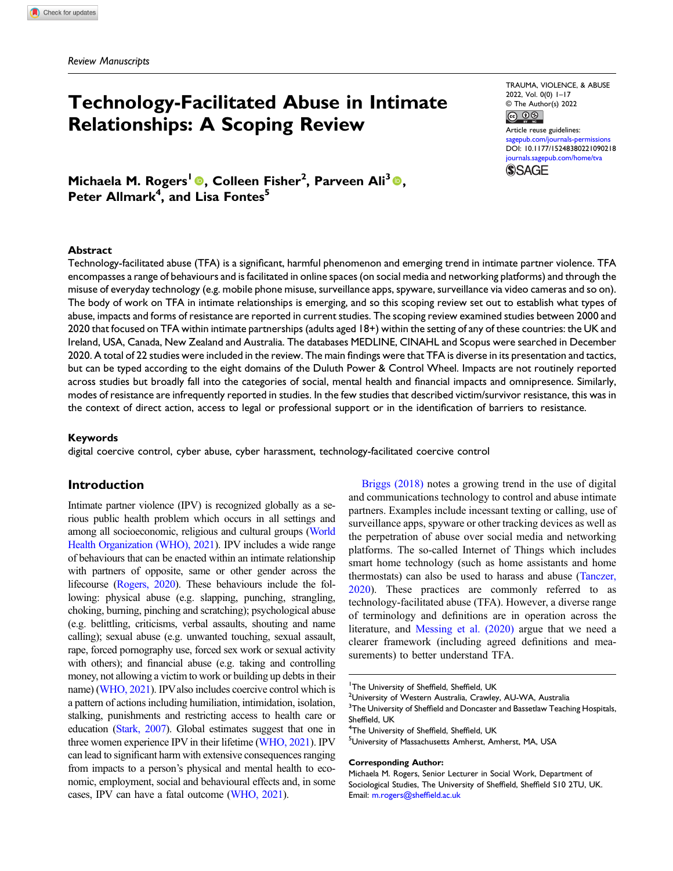# Technology-Facilitated Abuse in Intimate Relationships: A Scoping Review

TRAUMA, VIOLENCE, & ABUSE 2022, Vol. 0(0) 1–17 © The Author(s) 2022

<u>© 0⊗ </u> Article reuse guidelines: [sagepub.com/journals-permissions](https://us.sagepub.com/en-us/journals-permissions) DOI: [10.1177/15248380221090218](https://doi.org/10.1177/15248380221090218) [journals.sagepub.com/home/tva](https://journals.sagepub.com/home/tva)



Michaela M. Rogers<sup>1</sup> ©, Colleen Fisher<sup>2</sup>, Parveen Ali<sup>3</sup> ©, Peter Allmark<sup>4</sup>, and Lisa Fontes<sup>5</sup>

#### Abstract

Technology-facilitated abuse (TFA) is a significant, harmful phenomenon and emerging trend in intimate partner violence. TFA encompasses a range of behaviours and is facilitated in online spaces (on social media and networking platforms) and through the misuse of everyday technology (e.g. mobile phone misuse, surveillance apps, spyware, surveillance via video cameras and so on). The body of work on TFA in intimate relationships is emerging, and so this scoping review set out to establish what types of abuse, impacts and forms of resistance are reported in current studies. The scoping review examined studies between 2000 and 2020 that focused on TFA within intimate partnerships (adults aged 18+) within the setting of any of these countries: the UK and Ireland, USA, Canada, New Zealand and Australia. The databases MEDLINE, CINAHL and Scopus were searched in December 2020. A total of 22 studies were included in the review. The main findings were that TFA is diverse in its presentation and tactics, but can be typed according to the eight domains of the Duluth Power & Control Wheel. Impacts are not routinely reported across studies but broadly fall into the categories of social, mental health and financial impacts and omnipresence. Similarly, modes of resistance are infrequently reported in studies. In the few studies that described victim/survivor resistance, this was in the context of direct action, access to legal or professional support or in the identification of barriers to resistance.

#### Keywords

digital coercive control, cyber abuse, cyber harassment, technology-facilitated coercive control

## Introduction

Intimate partner violence (IPV) is recognized globally as a serious public health problem which occurs in all settings and among all socioeconomic, religious and cultural groups ([World](#page-15-0) [Health Organization \(WHO\), 2021](#page-15-0)). IPV includes a wide range of behaviours that can be enacted within an intimate relationship with partners of opposite, same or other gender across the lifecourse [\(Rogers, 2020](#page-15-1)). These behaviours include the following: physical abuse (e.g. slapping, punching, strangling, choking, burning, pinching and scratching); psychological abuse (e.g. belittling, criticisms, verbal assaults, shouting and name calling); sexual abuse (e.g. unwanted touching, sexual assault, rape, forced pornography use, forced sex work or sexual activity with others); and financial abuse (e.g. taking and controlling money, not allowing a victim to work or building up debts in their name) [\(WHO, 2021](#page-15-0)). IPV also includes coercive control which is a pattern of actions including humiliation, intimidation, isolation, stalking, punishments and restricting access to health care or education ([Stark, 2007](#page-15-2)). Global estimates suggest that one in three women experience IPV in their lifetime ([WHO, 2021](#page-15-0)). IPV can lead to significant harm with extensive consequences ranging from impacts to a person's physical and mental health to economic, employment, social and behavioural effects and, in some cases, IPV can have a fatal outcome ([WHO, 2021\)](#page-15-0).

[Briggs \(2018\)](#page-14-0) notes a growing trend in the use of digital and communications technology to control and abuse intimate partners. Examples include incessant texting or calling, use of surveillance apps, spyware or other tracking devices as well as the perpetration of abuse over social media and networking platforms. The so-called Internet of Things which includes smart home technology (such as home assistants and home thermostats) can also be used to harass and abuse ([Tanczer,](#page-15-3) [2020](#page-15-3)). These practices are commonly referred to as technology-facilitated abuse (TFA). However, a diverse range of terminology and definitions are in operation across the literature, and [Messing et al. \(2020\)](#page-15-4) argue that we need a clearer framework (including agreed definitions and measurements) to better understand TFA.

#### Corresponding Author:

<sup>&</sup>lt;sup>1</sup>The University of Sheffield, Sheffield, UK<br><sup>2</sup>Llniversity of Western Australia, Crawley

<sup>&</sup>lt;sup>2</sup>University of Western Australia, Crawley, AU-WA, Australia

 $^3$ The University of Sheffield and Doncaster and Bassetlaw Teaching Hospitals, Sheffield, UK

<sup>&</sup>lt;sup>4</sup>The University of Sheffield, Sheffield, UK

University of Massachusetts Amherst, Amherst, MA, USA

Michaela M. Rogers, Senior Lecturer in Social Work, Department of Sociological Studies, The University of Sheffield, Sheffield S10 2TU, UK. Email: [m.rogers@shef](mailto:m.rogers@sheffield.ac.uk)field.ac.uk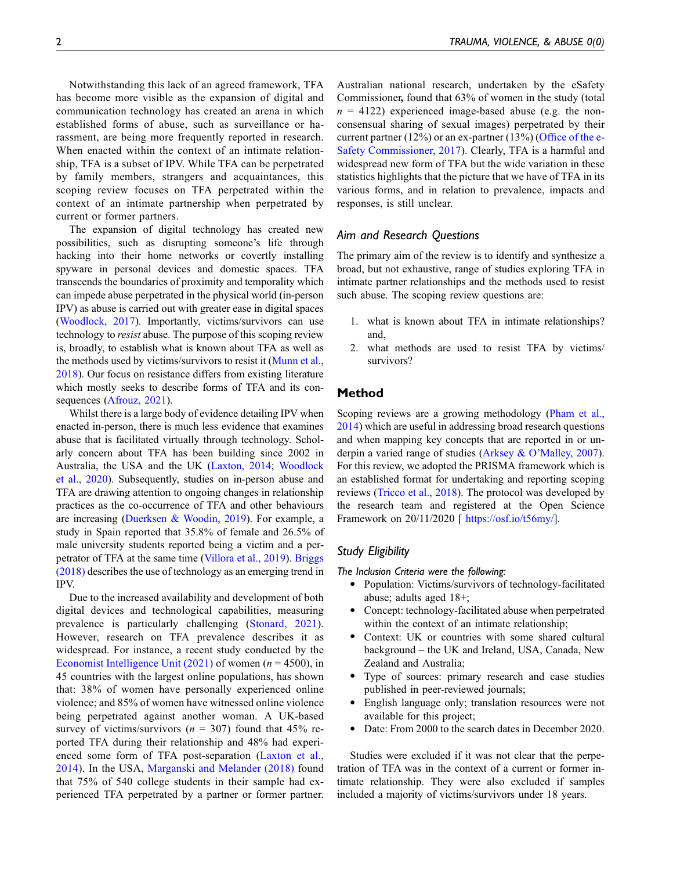Notwithstanding this lack of an agreed framework, TFA has become more visible as the expansion of digital and communication technology has created an arena in which established forms of abuse, such as surveillance or harassment, are being more frequently reported in research. When enacted within the context of an intimate relationship, TFA is a subset of IPV. While TFA can be perpetrated by family members, strangers and acquaintances, this scoping review focuses on TFA perpetrated within the context of an intimate partnership when perpetrated by current or former partners.

The expansion of digital technology has created new possibilities, such as disrupting someone's life through hacking into their home networks or covertly installing spyware in personal devices and domestic spaces. TFA transcends the boundaries of proximity and temporality which can impede abuse perpetrated in the physical world (in-person IPV) as abuse is carried out with greater ease in digital spaces [\(Woodlock, 2017\)](#page-15-5). Importantly, victims/survivors can use technology to *resist* abuse. The purpose of this scoping review is, broadly, to establish what is known about TFA as well as the methods used by victims/survivors to resist it ([Munn et al.,](#page-15-6) [2018](#page-15-6)). Our focus on resistance differs from existing literature which mostly seeks to describe forms of TFA and its consequences ([Afrouz, 2021\)](#page-14-1).

Whilst there is a large body of evidence detailing IPV when enacted in-person, there is much less evidence that examines abuse that is facilitated virtually through technology. Scholarly concern about TFA has been building since 2002 in Australia, the USA and the UK ([Laxton, 2014;](#page-14-2) [Woodlock](#page-15-7) [et al., 2020](#page-15-7)). Subsequently, studies on in-person abuse and TFA are drawing attention to ongoing changes in relationship practices as the co-occurrence of TFA and other behaviours are increasing ([Duerksen & Woodin, 2019](#page-14-3)). For example, a study in Spain reported that 35.8% of female and 26.5% of male university students reported being a victim and a perpetrator of TFA at the same time ([Villora et al., 2019\)](#page-15-8). [Briggs](#page-14-0) [\(2018\)](#page-14-0) describes the use of technology as an emerging trend in IPV.

Due to the increased availability and development of both digital devices and technological capabilities, measuring prevalence is particularly challenging [\(Stonard, 2021\)](#page-15-9). However, research on TFA prevalence describes it as widespread. For instance, a recent study conducted by the [Economist Intelligence Unit \(2021\)](#page-14-4) of women ( $n = 4500$ ), in 45 countries with the largest online populations, has shown that: 38% of women have personally experienced online violence; and 85% of women have witnessed online violence being perpetrated against another woman. A UK-based survey of victims/survivors ( $n = 307$ ) found that 45% reported TFA during their relationship and 48% had experienced some form of TFA post-separation ([Laxton et al.,](#page-14-2) [2014](#page-14-2)). In the USA, [Marganski and Melander \(2018\)](#page-15-10) found that 75% of 540 college students in their sample had experienced TFA perpetrated by a partner or former partner.

Australian national research, undertaken by the eSafety Commissioner, found that 63% of women in the study (total  $n = 4122$ ) experienced image-based abuse (e.g. the nonconsensual sharing of sexual images) perpetrated by their current partner (12%) or an ex-partner (13%) (Offi[ce of the e-](#page-15-11)[Safety Commissioner, 2017\)](#page-15-11). Clearly, TFA is a harmful and widespread new form of TFA but the wide variation in these statistics highlights that the picture that we have of TFA in its various forms, and in relation to prevalence, impacts and responses, is still unclear.

## Aim and Research Questions

The primary aim of the review is to identify and synthesize a broad, but not exhaustive, range of studies exploring TFA in intimate partner relationships and the methods used to resist such abuse. The scoping review questions are:

- 1. what is known about TFA in intimate relationships? and,
- 2. what methods are used to resist TFA by victims/ survivors?

## Method

Scoping reviews are a growing methodology [\(Pham et al.,](#page-15-12) [2014\)](#page-15-12) which are useful in addressing broad research questions and when mapping key concepts that are reported in or underpin a varied range of studies (Arksey & O'[Malley, 2007\)](#page-14-5). For this review, we adopted the PRISMA framework which is an established format for undertaking and reporting scoping reviews [\(Tricco et al., 2018](#page-15-13)). The protocol was developed by the research team and registered at the Open Science Framework on 20/11/2020 [ <https://osf.io/t56my/>].

#### Study Eligibility

The Inclusion Criteria were the following:

- · Population: Victims/survivors of technology-facilitated abuse; adults aged 18+;
- · Concept: technology-facilitated abuse when perpetrated within the context of an intimate relationship;
- · Context: UK or countries with some shared cultural background – the UK and Ireland, USA, Canada, New Zealand and Australia;
- · Type of sources: primary research and case studies published in peer-reviewed journals;
- English language only; translation resources were not available for this project;
- Date: From 2000 to the search dates in December 2020.

Studies were excluded if it was not clear that the perpetration of TFA was in the context of a current or former intimate relationship. They were also excluded if samples included a majority of victims/survivors under 18 years.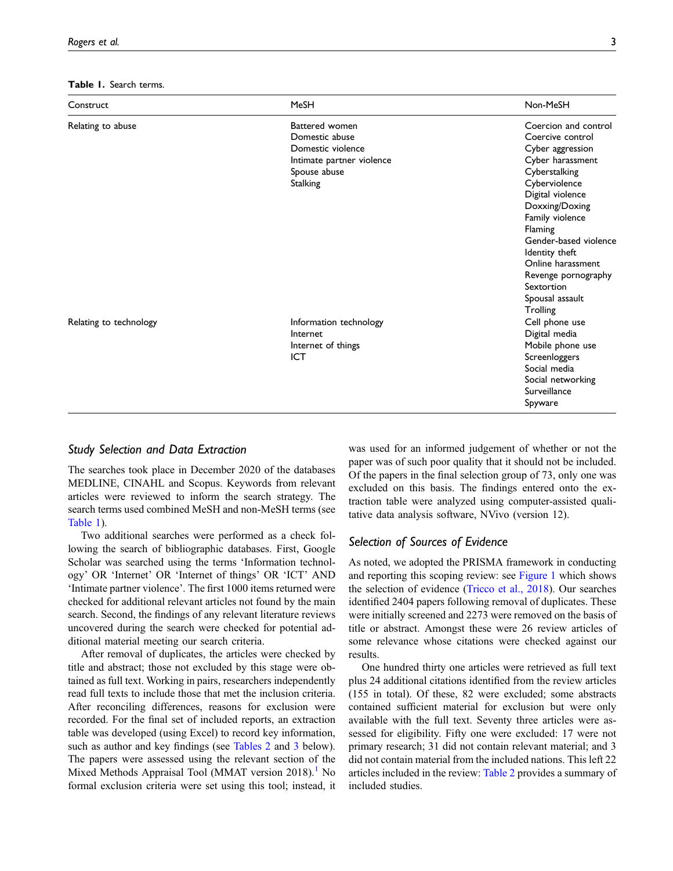<span id="page-2-0"></span>Table 1. Search terms.

| Construct              | MeSH                                                                                                                  | Non-MeSH                                                                                                                                                                                                                                                                                                                   |
|------------------------|-----------------------------------------------------------------------------------------------------------------------|----------------------------------------------------------------------------------------------------------------------------------------------------------------------------------------------------------------------------------------------------------------------------------------------------------------------------|
| Relating to abuse      | Battered women<br>Domestic abuse<br>Domestic violence<br>Intimate partner violence<br>Spouse abuse<br><b>Stalking</b> | Coercion and control<br>Coercive control<br>Cyber aggression<br>Cyber harassment<br>Cyberstalking<br>Cyberviolence<br>Digital violence<br>Doxxing/Doxing<br>Family violence<br>Flaming<br>Gender-based violence<br>Identity theft<br>Online harassment<br>Revenge pornography<br>Sextortion<br>Spousal assault<br>Trolling |
| Relating to technology | Information technology<br>Internet<br>Internet of things<br>ICT                                                       | Cell phone use<br>Digital media<br>Mobile phone use<br>Screenloggers<br>Social media<br>Social networking<br>Surveillance<br>Spyware                                                                                                                                                                                       |

## Study Selection and Data Extraction

The searches took place in December 2020 of the databases MEDLINE, CINAHL and Scopus. Keywords from relevant articles were reviewed to inform the search strategy. The search terms used combined MeSH and non-MeSH terms (see [Table 1\)](#page-2-0).

Two additional searches were performed as a check following the search of bibliographic databases. First, Google Scholar was searched using the terms 'Information technology' OR 'Internet' OR 'Internet of things' OR 'ICT' AND 'Intimate partner violence'. The first 1000 items returned were checked for additional relevant articles not found by the main search. Second, the findings of any relevant literature reviews uncovered during the search were checked for potential additional material meeting our search criteria.

After removal of duplicates, the articles were checked by title and abstract; those not excluded by this stage were obtained as full text. Working in pairs, researchers independently read full texts to include those that met the inclusion criteria. After reconciling differences, reasons for exclusion were recorded. For the final set of included reports, an extraction table was developed (using Excel) to record key information, such as author and key findings (see [Tables 2](#page-3-0) and [3](#page-5-0) below). The papers were assessed using the relevant section of the Mixed Methods Appraisal Tool (MMAT version 20[1](#page-14-6)8).<sup>1</sup> No formal exclusion criteria were set using this tool; instead, it was used for an informed judgement of whether or not the paper was of such poor quality that it should not be included. Of the papers in the final selection group of 73, only one was excluded on this basis. The findings entered onto the extraction table were analyzed using computer-assisted qualitative data analysis software, NVivo (version 12).

# Selection of Sources of Evidence

As noted, we adopted the PRISMA framework in conducting and reporting this scoping review: see [Figure 1](#page-7-0) which shows the selection of evidence ([Tricco et al., 2018\)](#page-15-13). Our searches identified 2404 papers following removal of duplicates. These were initially screened and 2273 were removed on the basis of title or abstract. Amongst these were 26 review articles of some relevance whose citations were checked against our results.

One hundred thirty one articles were retrieved as full text plus 24 additional citations identified from the review articles (155 in total). Of these, 82 were excluded; some abstracts contained sufficient material for exclusion but were only available with the full text. Seventy three articles were assessed for eligibility. Fifty one were excluded: 17 were not primary research; 31 did not contain relevant material; and 3 did not contain material from the included nations. This left 22 articles included in the review: [Table 2](#page-3-0) provides a summary of included studies.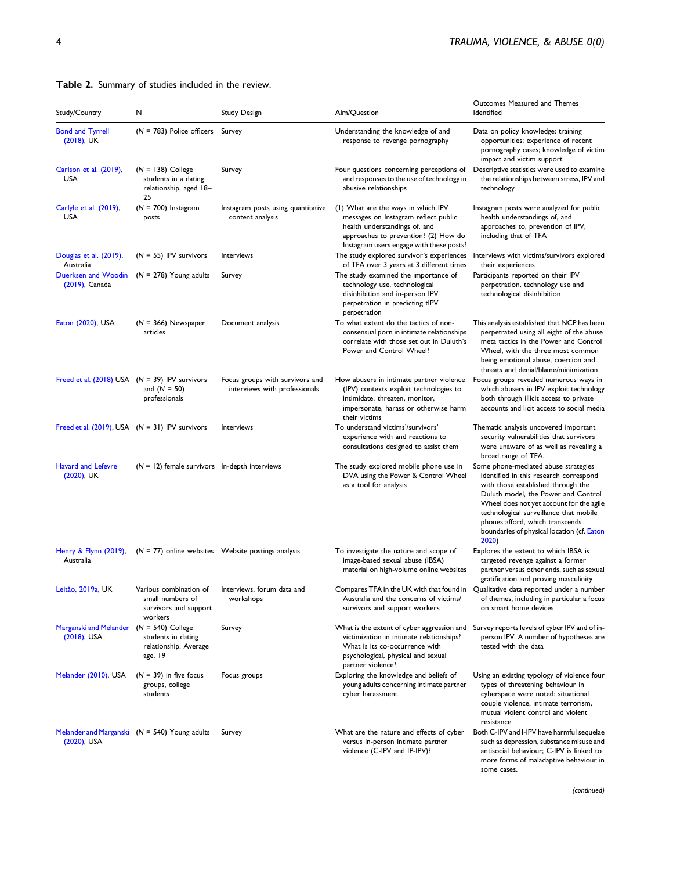<span id="page-3-0"></span>

|  | Table 2. Summary of studies included in the review. |  |  |
|--|-----------------------------------------------------|--|--|
|--|-----------------------------------------------------|--|--|

| Study/Country                                                | N                                                                              | <b>Study Design</b>                                              | Aim/Question                                                                                                                                                                                    | Outcomes Measured and Themes<br>Identified                                                                                                                                                                                                                                                                                                  |
|--------------------------------------------------------------|--------------------------------------------------------------------------------|------------------------------------------------------------------|-------------------------------------------------------------------------------------------------------------------------------------------------------------------------------------------------|---------------------------------------------------------------------------------------------------------------------------------------------------------------------------------------------------------------------------------------------------------------------------------------------------------------------------------------------|
|                                                              |                                                                                |                                                                  |                                                                                                                                                                                                 |                                                                                                                                                                                                                                                                                                                                             |
| <b>Bond and Tyrrell</b><br>$(2018)$ , UK                     | $(N = 783)$ Police officers Survey                                             |                                                                  | Understanding the knowledge of and<br>response to revenge pornography                                                                                                                           | Data on policy knowledge; training<br>opportunities; experience of recent<br>pornography cases; knowledge of victim<br>impact and victim support                                                                                                                                                                                            |
| Carlson et al. (2019),<br><b>USA</b>                         | $(N = 138)$ College<br>students in a dating<br>relationship, aged 18-<br>25    | Survey                                                           | Four questions concerning perceptions of<br>and responses to the use of technology in<br>abusive relationships                                                                                  | Descriptive statistics were used to examine<br>the relationships between stress, IPV and<br>technology                                                                                                                                                                                                                                      |
| Carlyle et al. (2019),<br><b>USA</b>                         | $(N = 700)$ Instagram<br>posts                                                 | Instagram posts using quantitative<br>content analysis           | (1) What are the ways in which IPV<br>messages on Instagram reflect public<br>health understandings of, and<br>approaches to prevention? (2) How do<br>Instagram users engage with these posts? | Instagram posts were analyzed for public<br>health understandings of, and<br>approaches to, prevention of IPV,<br>including that of TFA                                                                                                                                                                                                     |
| Douglas et al. (2019),<br>Australia                          | $(N = 55)$ IPV survivors                                                       | Interviews                                                       | The study explored survivor's experiences<br>of TFA over 3 years at 3 different times                                                                                                           | Interviews with victims/survivors explored<br>their experiences                                                                                                                                                                                                                                                                             |
| Duerksen and Woodin<br>$(2019)$ , Canada                     | $(N = 278)$ Young adults                                                       | Survey                                                           | The study examined the importance of<br>technology use, technological<br>disinhibition and in-person IPV<br>perpetration in predicting tlPV<br>perpetration                                     | Participants reported on their IPV<br>perpetration, technology use and<br>technological disinhibition                                                                                                                                                                                                                                       |
| Eaton (2020), USA                                            | $(N = 366)$ Newspaper<br>articles                                              | Document analysis                                                | To what extent do the tactics of non-<br>consensual porn in intimate relationships<br>correlate with those set out in Duluth's<br>Power and Control Wheel?                                      | This analysis established that NCP has been<br>perpetrated using all eight of the abuse<br>meta tactics in the Power and Control<br>Wheel, with the three most common<br>being emotional abuse, coercion and<br>threats and denial/blame/minimization                                                                                       |
| Freed et al. $(2018)$ USA $(N = 39)$ IPV survivors           | and $(N = 50)$<br>professionals                                                | Focus groups with survivors and<br>interviews with professionals | How abusers in intimate partner violence<br>(IPV) contexts exploit technologies to<br>intimidate, threaten, monitor,<br>impersonate, harass or otherwise harm<br>their victims                  | Focus groups revealed numerous ways in<br>which abusers in IPV exploit technology<br>both through illicit access to private<br>accounts and licit access to social media                                                                                                                                                                    |
| Freed et al. $(2019)$ , USA $(N = 31)$ IPV survivors         |                                                                                | Interviews                                                       | To understand victims'/survivors'<br>experience with and reactions to<br>consultations designed to assist them                                                                                  | Thematic analysis uncovered important<br>security vulnerabilities that survivors<br>were unaware of as well as revealing a<br>broad range of TFA.                                                                                                                                                                                           |
| <b>Havard and Lefevre</b><br>$(2020)$ , UK                   | $(N = 12)$ female survivors In-depth interviews                                |                                                                  | The study explored mobile phone use in<br>DVA using the Power & Control Wheel<br>as a tool for analysis                                                                                         | Some phone-mediated abuse strategies<br>identified in this research correspond<br>with those established through the<br>Duluth model, the Power and Control<br>Wheel does not yet account for the agile<br>technological surveillance that mobile<br>phones afford, which transcends<br>boundaries of physical location (cf. Eaton<br>2020) |
| Henry & Flynn (2019),<br>Australia                           | $(N = 77)$ online websites Website postings analysis                           |                                                                  | To investigate the nature and scope of<br>image-based sexual abuse (IBSA)<br>material on high-volume online websites                                                                            | Explores the extent to which IBSA is<br>targeted revenge against a former<br>partner versus other ends, such as sexual<br>gratification and proving masculinity                                                                                                                                                                             |
| Leitão, 2019a, UK                                            | Various combination of<br>small numbers of<br>survivors and support<br>workers | Interviews, forum data and<br>workshops                          | Compares TFA in the UK with that found in<br>Australia and the concerns of victims/<br>survivors and support workers                                                                            | Qualitative data reported under a number<br>of themes, including in particular a focus<br>on smart home devices                                                                                                                                                                                                                             |
| Marganski and Melander $(N = 540)$ College<br>$(2018)$ , USA | students in dating<br>relationship. Average<br>age, 19                         | Survey                                                           | victimization in intimate relationships?<br>What is its co-occurrence with<br>psychological, physical and sexual<br>partner violence?                                                           | What is the extent of cyber aggression and Survey reports levels of cyber IPV and of in-<br>person IPV. A number of hypotheses are<br>tested with the data                                                                                                                                                                                  |
| Melander (2010), USA                                         | $(N = 39)$ in five focus<br>groups, college<br>students                        | Focus groups                                                     | Exploring the knowledge and beliefs of<br>young adults concerning intimate partner<br>cyber harassment                                                                                          | Using an existing typology of violence four<br>types of threatening behaviour in<br>cyberspace were noted: situational<br>couple violence, intimate terrorism,<br>mutual violent control and violent<br>resistance                                                                                                                          |
| $(2020)$ , USA                                               | Melander and Marganski $(N = 540)$ Young adults                                | Survey                                                           | What are the nature and effects of cyber<br>versus in-person intimate partner<br>violence (C-IPV and IP-IPV)?                                                                                   | Both C-IPV and I-IPV have harmful sequelae<br>such as depression, substance misuse and<br>antisocial behaviour; C-IPV is linked to<br>more forms of maladaptive behaviour in<br>some cases.                                                                                                                                                 |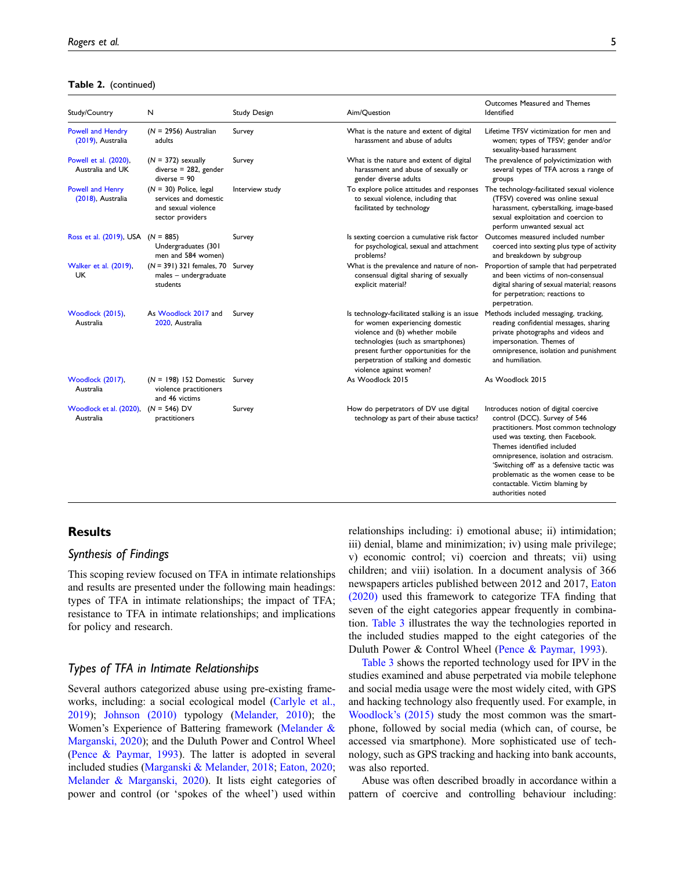#### Table 2. (continued)

| Study/Country                                 | N                                                                                            | Study Design    | Aim/Question                                                                                                                                                                                                                                                            | Outcomes Measured and Themes<br>Identified                                                                                                                                                                                                                                                                                                                             |
|-----------------------------------------------|----------------------------------------------------------------------------------------------|-----------------|-------------------------------------------------------------------------------------------------------------------------------------------------------------------------------------------------------------------------------------------------------------------------|------------------------------------------------------------------------------------------------------------------------------------------------------------------------------------------------------------------------------------------------------------------------------------------------------------------------------------------------------------------------|
| <b>Powell and Hendry</b><br>(2019), Australia | $(N = 2956)$ Australian<br>adults                                                            | Survey          | What is the nature and extent of digital<br>harassment and abuse of adults                                                                                                                                                                                              | Lifetime TFSV victimization for men and<br>women; types of TFSV; gender and/or<br>sexuality-based harassment                                                                                                                                                                                                                                                           |
| Powell et al. (2020),<br>Australia and UK     | $(N = 372)$ sexually<br>$diverse = 282$ , gender<br>$diverse = 90$                           | Survey          | What is the nature and extent of digital<br>harassment and abuse of sexually or<br>gender diverse adults                                                                                                                                                                | The prevalence of polyvictimization with<br>several types of TFA across a range of<br>groups                                                                                                                                                                                                                                                                           |
| Powell and Henry<br>(2018), Australia         | $(N = 30)$ Police, legal<br>services and domestic<br>and sexual violence<br>sector providers | Interview study | To explore police attitudes and responses<br>to sexual violence, including that<br>facilitated by technology                                                                                                                                                            | The technology-facilitated sexual violence<br>(TFSV) covered was online sexual<br>harassment, cyberstalking, image-based<br>sexual exploitation and coercion to<br>perform unwanted sexual act                                                                                                                                                                         |
| Ross et al. $(2019)$ , USA $(N = 885)$        | Undergraduates (301<br>men and 584 women)                                                    | Survey          | Is sexting coercion a cumulative risk factor<br>for psychological, sexual and attachment<br>problems?                                                                                                                                                                   | Outcomes measured included number<br>coerced into sexting plus type of activity<br>and breakdown by subgroup                                                                                                                                                                                                                                                           |
| Walker et al. (2019),<br><b>UK</b>            | $(N = 391)$ 321 females, 70<br>males - undergraduate<br>students                             | Survey          | What is the prevalence and nature of non-<br>consensual digital sharing of sexually<br>explicit material?                                                                                                                                                               | Proportion of sample that had perpetrated<br>and been victims of non-consensual<br>digital sharing of sexual material; reasons<br>for perpetration; reactions to<br>perpetration.                                                                                                                                                                                      |
| Woodlock (2015),<br>Australia                 | As Woodlock 2017 and<br>2020, Australia                                                      | Survey          | Is technology-facilitated stalking is an issue<br>for women experiencing domestic<br>violence and (b) whether mobile<br>technologies (such as smartphones)<br>present further opportunities for the<br>perpetration of stalking and domestic<br>violence against women? | Methods included messaging, tracking,<br>reading confidential messages, sharing<br>private photographs and videos and<br>impersonation. Themes of<br>omnipresence, isolation and punishment<br>and humiliation.                                                                                                                                                        |
| Woodlock (2017),<br>Australia                 | $(N = 198)$ 152 Domestic Survey<br>violence practitioners<br>and 46 victims                  |                 | As Woodlock 2015                                                                                                                                                                                                                                                        | As Woodlock 2015                                                                                                                                                                                                                                                                                                                                                       |
| Woodlock et al. (2020),<br>Australia          | $(N = 546)$ DV<br>practitioners                                                              | Survey          | How do perpetrators of DV use digital<br>technology as part of their abuse tactics?                                                                                                                                                                                     | Introduces notion of digital coercive<br>control (DCC). Survey of 546<br>practitioners. Most common technology<br>used was texting, then Facebook.<br>Themes identified included<br>omnipresence, isolation and ostracism.<br>'Switching off' as a defensive tactic was<br>problematic as the women cease to be<br>contactable. Victim blaming by<br>authorities noted |

# **Results**

### Synthesis of Findings

This scoping review focused on TFA in intimate relationships and results are presented under the following main headings: types of TFA in intimate relationships; the impact of TFA; resistance to TFA in intimate relationships; and implications for policy and research.

## Types of TFA in Intimate Relationships

Several authors categorized abuse using pre-existing frameworks, including: a social ecological model [\(Carlyle et al.,](#page-14-9) [2019\)](#page-14-9); [Johnson \(2010\)](#page-14-17) typology [\(Melander, 2010](#page-15-14)); the Women's Experience of Battering framework ([Melander &](#page-15-15) [Marganski, 2020](#page-15-15)); and the Duluth Power and Control Wheel [\(Pence & Paymar, 1993\)](#page-15-16). The latter is adopted in several included studies ([Marganski & Melander, 2018](#page-15-10); [Eaton, 2020;](#page-14-11) [Melander & Marganski, 2020](#page-15-15)). It lists eight categories of power and control (or 'spokes of the wheel') used within

relationships including: i) emotional abuse; ii) intimidation; iii) denial, blame and minimization; iv) using male privilege; v) economic control; vi) coercion and threats; vii) using children; and viii) isolation. In a document analysis of 366 newspapers articles published between 2012 and 2017, [Eaton](#page-14-11) [\(2020\)](#page-14-11) used this framework to categorize TFA finding that seven of the eight categories appear frequently in combination. [Table 3](#page-5-0) illustrates the way the technologies reported in the included studies mapped to the eight categories of the Duluth Power & Control Wheel ([Pence & Paymar, 1993](#page-15-16)).

[Table 3](#page-5-0) shows the reported technology used for IPV in the studies examined and abuse perpetrated via mobile telephone and social media usage were the most widely cited, with GPS and hacking technology also frequently used. For example, in [Woodlock](#page-15-17)'s (2015) study the most common was the smartphone, followed by social media (which can, of course, be accessed via smartphone). More sophisticated use of technology, such as GPS tracking and hacking into bank accounts, was also reported.

Abuse was often described broadly in accordance within a pattern of coercive and controlling behaviour including: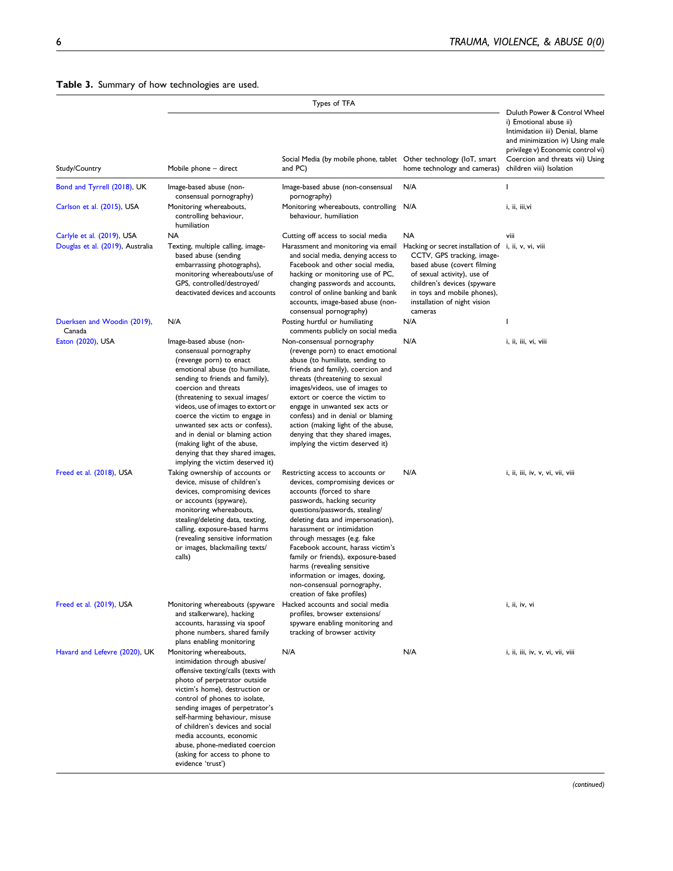## <span id="page-5-0"></span>Table 3. Summary of how technologies are used.

| Study/Country                                                  | Mobile phone - direct                                                                                                                                                                                                                                                                                                                                                                                                                                           | Social Media (by mobile phone, tablet Other technology (IoT, smart<br>and PC)                                                                                                                                                                                                                                                                                                                                                                                                 | home technology and cameras)                                                                                                                                                                                                                                    | Duluth Power & Control Wheel<br>i) Emotional abuse ii)<br>Intimidation iii) Denial, blame<br>and minimization iv) Using male<br>privilege v) Economic control vi)<br>Coercion and threats vii) Using<br>children viii) Isolation |
|----------------------------------------------------------------|-----------------------------------------------------------------------------------------------------------------------------------------------------------------------------------------------------------------------------------------------------------------------------------------------------------------------------------------------------------------------------------------------------------------------------------------------------------------|-------------------------------------------------------------------------------------------------------------------------------------------------------------------------------------------------------------------------------------------------------------------------------------------------------------------------------------------------------------------------------------------------------------------------------------------------------------------------------|-----------------------------------------------------------------------------------------------------------------------------------------------------------------------------------------------------------------------------------------------------------------|----------------------------------------------------------------------------------------------------------------------------------------------------------------------------------------------------------------------------------|
| Bond and Tyrrell (2018), UK                                    | Image-based abuse (non-                                                                                                                                                                                                                                                                                                                                                                                                                                         | Image-based abuse (non-consensual                                                                                                                                                                                                                                                                                                                                                                                                                                             | N/A                                                                                                                                                                                                                                                             | 1                                                                                                                                                                                                                                |
| Carlson et al. (2015), USA                                     | consensual pornography)<br>Monitoring whereabouts,<br>controlling behaviour,<br>humiliation                                                                                                                                                                                                                                                                                                                                                                     | pornography)<br>Monitoring whereabouts, controlling N/A<br>behaviour, humiliation                                                                                                                                                                                                                                                                                                                                                                                             |                                                                                                                                                                                                                                                                 | i, ii, iii,vi                                                                                                                                                                                                                    |
| Carlyle et al. (2019), USA<br>Douglas et al. (2019), Australia | NA<br>Texting, multiple calling, image-<br>based abuse (sending<br>embarrassing photographs),<br>monitoring whereabouts/use of<br>GPS, controlled/destroyed/<br>deactivated devices and accounts                                                                                                                                                                                                                                                                | Cutting off access to social media<br>Harassment and monitoring via email<br>and social media, denying access to<br>Facebook and other social media,<br>hacking or monitoring use of PC,<br>changing passwords and accounts,<br>control of online banking and bank<br>accounts, image-based abuse (non-<br>consensual pornography)                                                                                                                                            | NA<br>Hacking or secret installation of i, ii, v, vi, viii<br>CCTV, GPS tracking, image-<br>based abuse (covert filming<br>of sexual activity), use of<br>children's devices (spyware<br>in toys and mobile phones),<br>installation of night vision<br>cameras | viii                                                                                                                                                                                                                             |
| Duerksen and Woodin (2019),<br>Canada                          | N/A                                                                                                                                                                                                                                                                                                                                                                                                                                                             | Posting hurtful or humiliating<br>comments publicly on social media                                                                                                                                                                                                                                                                                                                                                                                                           | N/A                                                                                                                                                                                                                                                             | ı                                                                                                                                                                                                                                |
| Eaton (2020), USA                                              | Image-based abuse (non-<br>consensual pornography<br>(revenge porn) to enact<br>emotional abuse (to humiliate,<br>sending to friends and family),<br>coercion and threats<br>(threatening to sexual images/<br>videos, use of images to extort or<br>coerce the victim to engage in<br>unwanted sex acts or confess),<br>and in denial or blaming action<br>(making light of the abuse,<br>denying that they shared images,<br>implying the victim deserved it) | Non-consensual pornography<br>(revenge porn) to enact emotional<br>abuse (to humiliate, sending to<br>friends and family), coercion and<br>threats (threatening to sexual<br>images/videos, use of images to<br>extort or coerce the victim to<br>engage in unwanted sex acts or<br>confess) and in denial or blaming<br>action (making light of the abuse,<br>denying that they shared images,<br>implying the victim deserved it)                                           | N/A                                                                                                                                                                                                                                                             | i, ii, iii, vi, viii                                                                                                                                                                                                             |
| Freed et al. (2018), USA                                       | Taking ownership of accounts or<br>device, misuse of children's<br>devices, compromising devices<br>or accounts (spyware),<br>monitoring whereabouts,<br>stealing/deleting data, texting,<br>calling, exposure-based harms<br>(revealing sensitive information<br>or images, blackmailing texts/<br>calls)                                                                                                                                                      | Restricting access to accounts or<br>devices, compromising devices or<br>accounts (forced to share<br>passwords, hacking security<br>questions/passwords, stealing/<br>deleting data and impersonation),<br>harassment or intimidation<br>through messages (e.g. fake<br>Facebook account, harass victim's<br>family or friends), exposure-based<br>harms (revealing sensitive<br>information or images, doxing,<br>non-consensual pornography,<br>creation of fake profiles) | N/A                                                                                                                                                                                                                                                             | i, ii, iii, iv, v, vi, vii, viii                                                                                                                                                                                                 |
| Freed et al. (2019), USA                                       | Monitoring whereabouts (spyware<br>and stalkerware), hacking<br>accounts, harassing via spoof<br>phone numbers, shared family<br>plans enabling monitoring                                                                                                                                                                                                                                                                                                      | Hacked accounts and social media<br>profiles, browser extensions/<br>spyware enabling monitoring and<br>tracking of browser activity                                                                                                                                                                                                                                                                                                                                          |                                                                                                                                                                                                                                                                 | i, ii, iv, vi                                                                                                                                                                                                                    |
| Havard and Lefevre (2020), UK                                  | Monitoring whereabouts,<br>intimidation through abusive/<br>offensive texting/calls (texts with<br>photo of perpetrator outside<br>victim's home), destruction or<br>control of phones to isolate,<br>sending images of perpetrator's<br>self-harming behaviour, misuse<br>of children's devices and social<br>media accounts, economic<br>abuse, phone-mediated coercion<br>(asking for access to phone to<br>evidence 'trust')                                | N/A                                                                                                                                                                                                                                                                                                                                                                                                                                                                           | N/A                                                                                                                                                                                                                                                             | i, ii, iii, iv, v, vi, vii, viii                                                                                                                                                                                                 |

(continued)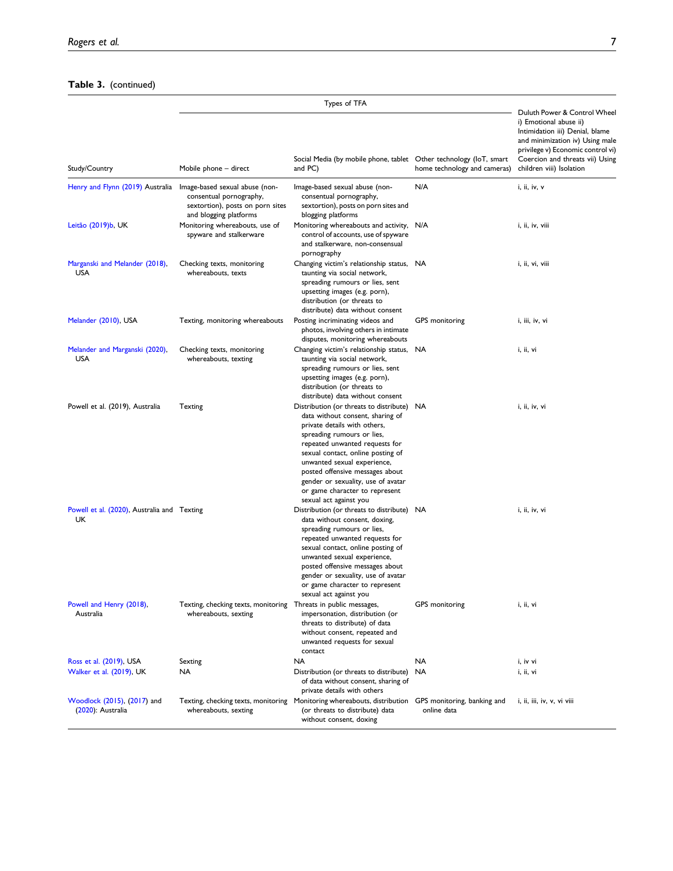## Table 3. (continued)

| Study/Country                                     | Mobile phone - direct                                                                                                   | Social Media (by mobile phone, tablet Other technology (IoT, smart<br>and PC)                                                                                                                                                                                                                                                                                                           | home technology and cameras)               | Duluth Power & Control Wheel<br>i) Emotional abuse ii)<br>Intimidation iii) Denial, blame<br>and minimization iv) Using male<br>privilege v) Economic control vi)<br>Coercion and threats vii) Using<br>children viii) Isolation |
|---------------------------------------------------|-------------------------------------------------------------------------------------------------------------------------|-----------------------------------------------------------------------------------------------------------------------------------------------------------------------------------------------------------------------------------------------------------------------------------------------------------------------------------------------------------------------------------------|--------------------------------------------|----------------------------------------------------------------------------------------------------------------------------------------------------------------------------------------------------------------------------------|
| Henry and Flynn (2019) Australia                  | Image-based sexual abuse (non-<br>consentual pornography,<br>sextortion), posts on porn sites<br>and blogging platforms | Image-based sexual abuse (non-<br>consentual pornography,<br>sextortion), posts on porn sites and<br>blogging platforms                                                                                                                                                                                                                                                                 | N/A                                        | i, ii, iv, v                                                                                                                                                                                                                     |
| Leitão (2019)b, UK                                | Monitoring whereabouts, use of<br>spyware and stalkerware                                                               | Monitoring whereabouts and activity, N/A<br>control of accounts, use of spyware<br>and stalkerware, non-consensual<br>pornography                                                                                                                                                                                                                                                       |                                            | i, ii, iv, viii                                                                                                                                                                                                                  |
| Marganski and Melander (2018),<br><b>USA</b>      | Checking texts, monitoring<br>whereabouts, texts                                                                        | Changing victim's relationship status, NA<br>taunting via social network,<br>spreading rumours or lies, sent<br>upsetting images (e.g. porn),<br>distribution (or threats to<br>distribute) data without consent                                                                                                                                                                        |                                            | i, ii, vi, viii                                                                                                                                                                                                                  |
| Melander (2010), USA                              | Texting, monitoring whereabouts                                                                                         | Posting incriminating videos and<br>photos, involving others in intimate<br>disputes, monitoring whereabouts                                                                                                                                                                                                                                                                            | GPS monitoring                             | i, iii, iv, vi                                                                                                                                                                                                                   |
| Melander and Marganski (2020),<br><b>USA</b>      | Checking texts, monitoring<br>whereabouts, texting                                                                      | Changing victim's relationship status,<br>taunting via social network,<br>spreading rumours or lies, sent<br>upsetting images (e.g. porn),<br>distribution (or threats to<br>distribute) data without consent                                                                                                                                                                           | <b>NA</b>                                  | i, ii, vi                                                                                                                                                                                                                        |
| Powell et al. (2019), Australia                   | Texting                                                                                                                 | Distribution (or threats to distribute) NA<br>data without consent, sharing of<br>private details with others,<br>spreading rumours or lies,<br>repeated unwanted requests for<br>sexual contact, online posting of<br>unwanted sexual experience,<br>posted offensive messages about<br>gender or sexuality, use of avatar<br>or game character to represent<br>sexual act against you |                                            | i, ii, iv, vi                                                                                                                                                                                                                    |
| Powell et al. (2020), Australia and Texting<br>UK |                                                                                                                         | Distribution (or threats to distribute) NA<br>data without consent, doxing,<br>spreading rumours or lies,<br>repeated unwanted requests for<br>sexual contact, online posting of<br>unwanted sexual experience,<br>posted offensive messages about<br>gender or sexuality, use of avatar<br>or game character to represent<br>sexual act against you                                    |                                            | i, ii, iv, vi                                                                                                                                                                                                                    |
| Powell and Henry (2018),<br>Australia             | Texting, checking texts, monitoring Threats in public messages,<br>whereabouts, sexting                                 | impersonation, distribution (or<br>threats to distribute) of data<br>without consent, repeated and<br>unwanted requests for sexual<br>contact                                                                                                                                                                                                                                           | GPS monitoring                             | i, ii, vi                                                                                                                                                                                                                        |
| Ross et al. (2019), USA                           | Sexting                                                                                                                 | <b>NA</b>                                                                                                                                                                                                                                                                                                                                                                               | <b>NA</b>                                  | i, iv vi                                                                                                                                                                                                                         |
| Walker et al. (2019), UK                          | NA                                                                                                                      | Distribution (or threats to distribute)<br>of data without consent, sharing of<br>private details with others                                                                                                                                                                                                                                                                           | NA                                         | i, ii, vi                                                                                                                                                                                                                        |
| Woodlock (2015), (2017) and<br>(2020): Australia  | Texting, checking texts, monitoring<br>whereabouts, sexting                                                             | Monitoring whereabouts, distribution<br>(or threats to distribute) data<br>without consent, doxing                                                                                                                                                                                                                                                                                      | GPS monitoring, banking and<br>online data | i, ii, iii, iv, v, vi viii                                                                                                                                                                                                       |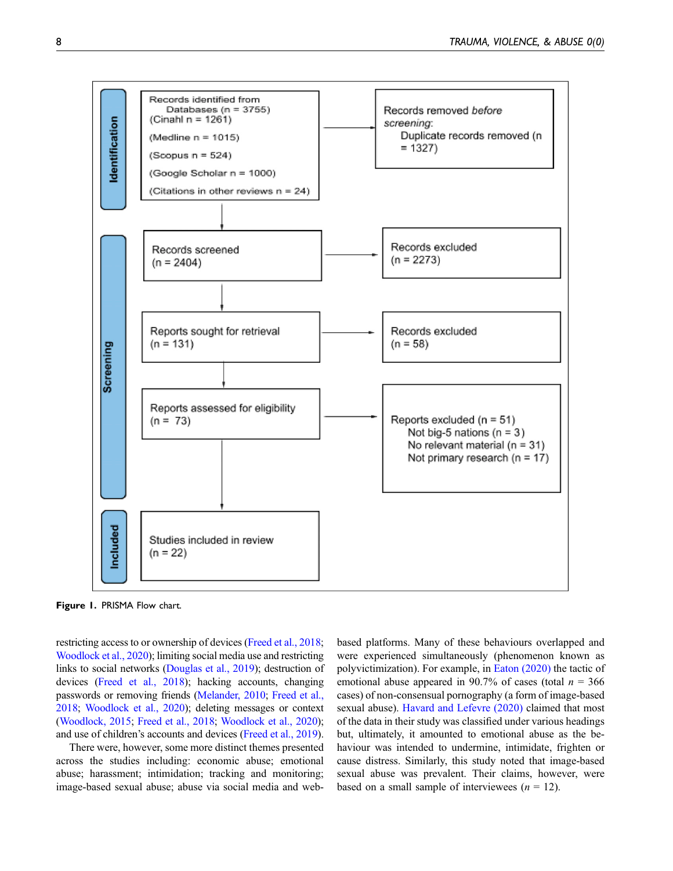

<span id="page-7-0"></span>Figure 1. PRISMA Flow chart.

restricting access to or ownership of devices [\(Freed et al., 2018;](#page-14-12) [Woodlock et al., 2020\)](#page-15-7); limiting social media use and restricting links to social networks [\(Douglas et al., 2019\)](#page-14-10); destruction of devices [\(Freed et al., 2018\)](#page-14-12); hacking accounts, changing passwords or removing friends ([Melander, 2010;](#page-15-14) [Freed et al.,](#page-14-12) [2018;](#page-14-12) [Woodlock et al., 2020](#page-15-7)); deleting messages or context [\(Woodlock, 2015](#page-15-17); [Freed et al., 2018](#page-14-12); [Woodlock et al., 2020\)](#page-15-7); and use of children's accounts and devices [\(Freed et al., 2019](#page-14-13)).

There were, however, some more distinct themes presented across the studies including: economic abuse; emotional abuse; harassment; intimidation; tracking and monitoring; image-based sexual abuse; abuse via social media and webbased platforms. Many of these behaviours overlapped and were experienced simultaneously (phenomenon known as polyvictimization). For example, in [Eaton \(2020\)](#page-14-11) the tactic of emotional abuse appeared in 90.7% of cases (total  $n = 366$ ) cases) of non-consensual pornography (a form of image-based sexual abuse). [Havard and Lefevre \(2020\)](#page-14-14) claimed that most of the data in their study was classified under various headings but, ultimately, it amounted to emotional abuse as the behaviour was intended to undermine, intimidate, frighten or cause distress. Similarly, this study noted that image-based sexual abuse was prevalent. Their claims, however, were based on a small sample of interviewees  $(n = 12)$ .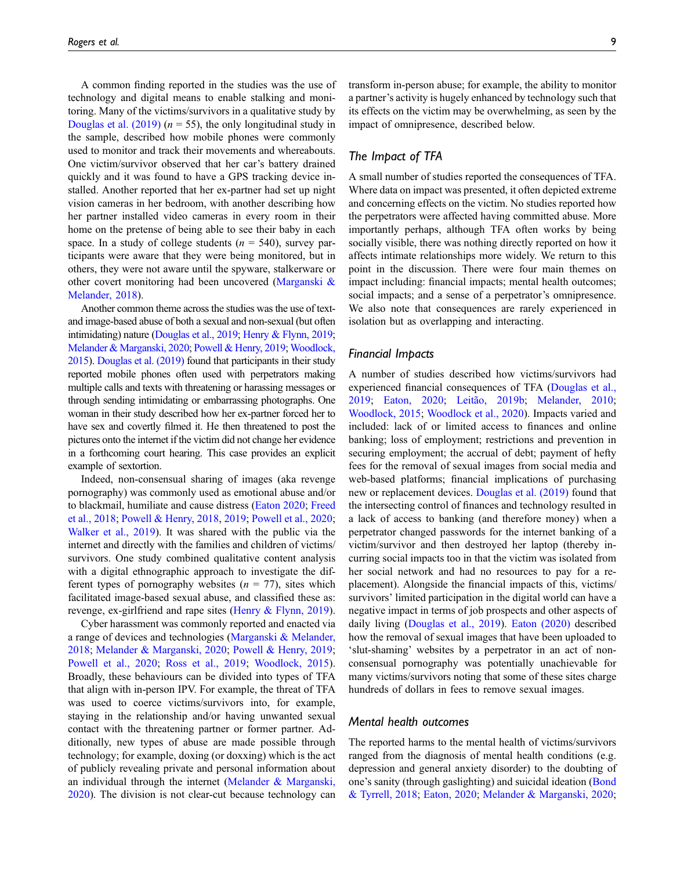A common finding reported in the studies was the use of technology and digital means to enable stalking and monitoring. Many of the victims/survivors in a qualitative study by [Douglas et al. \(2019\)](#page-14-10) ( $n = 55$ ), the only longitudinal study in the sample, described how mobile phones were commonly used to monitor and track their movements and whereabouts. One victim/survivor observed that her car's battery drained quickly and it was found to have a GPS tracking device installed. Another reported that her ex-partner had set up night vision cameras in her bedroom, with another describing how her partner installed video cameras in every room in their home on the pretense of being able to see their baby in each space. In a study of college students ( $n = 540$ ), survey participants were aware that they were being monitored, but in others, they were not aware until the spyware, stalkerware or other covert monitoring had been uncovered ([Marganski &](#page-15-10) [Melander, 2018](#page-15-10)).

Another common theme across the studies was the use of textand image-based abuse of both a sexual and non-sexual (but often intimidating) nature [\(Douglas et al., 2019](#page-14-10); [Henry & Flynn, 2019;](#page-14-15) [Melander & Marganski, 2020](#page-15-15); [Powell & Henry, 2019;](#page-15-18) [Woodlock,](#page-15-17) [2015\)](#page-15-17). [Douglas et al. \(2019\)](#page-14-10) found that participants in their study reported mobile phones often used with perpetrators making multiple calls and texts with threatening or harassing messages or through sending intimidating or embarrassing photographs. One woman in their study described how her ex-partner forced her to have sex and covertly filmed it. He then threatened to post the pictures onto the internet if the victim did not change her evidence in a forthcoming court hearing. This case provides an explicit example of sextortion.

Indeed, non-consensual sharing of images (aka revenge pornography) was commonly used as emotional abuse and/or to blackmail, humiliate and cause distress [\(Eaton 2020;](#page-14-11) [Freed](#page-14-12) [et al., 2018;](#page-14-12) [Powell & Henry, 2018](#page-15-20), [2019](#page-15-18); [Powell et al., 2020;](#page-15-19) [Walker et al., 2019](#page-15-22)). It was shared with the public via the internet and directly with the families and children of victims/ survivors. One study combined qualitative content analysis with a digital ethnographic approach to investigate the different types of pornography websites  $(n = 77)$ , sites which facilitated image-based sexual abuse, and classified these as: revenge, ex-girlfriend and rape sites [\(Henry & Flynn, 2019\)](#page-14-15).

Cyber harassment was commonly reported and enacted via a range of devices and technologies ([Marganski & Melander,](#page-15-10) [2018;](#page-15-10) [Melander & Marganski, 2020](#page-15-15); [Powell & Henry, 2019;](#page-15-18) [Powell et al., 2020](#page-15-19); [Ross et al., 2019;](#page-15-21) [Woodlock, 2015\)](#page-15-17). Broadly, these behaviours can be divided into types of TFA that align with in-person IPV. For example, the threat of TFA was used to coerce victims/survivors into, for example, staying in the relationship and/or having unwanted sexual contact with the threatening partner or former partner. Additionally, new types of abuse are made possible through technology; for example, doxing (or doxxing) which is the act of publicly revealing private and personal information about an individual through the internet [\(Melander & Marganski,](#page-15-15) [2020\)](#page-15-15). The division is not clear-cut because technology can transform in-person abuse; for example, the ability to monitor a partner's activity is hugely enhanced by technology such that its effects on the victim may be overwhelming, as seen by the impact of omnipresence, described below.

## The Impact of TFA

A small number of studies reported the consequences of TFA. Where data on impact was presented, it often depicted extreme and concerning effects on the victim. No studies reported how the perpetrators were affected having committed abuse. More importantly perhaps, although TFA often works by being socially visible, there was nothing directly reported on how it affects intimate relationships more widely. We return to this point in the discussion. There were four main themes on impact including: financial impacts; mental health outcomes; social impacts; and a sense of a perpetrator's omnipresence. We also note that consequences are rarely experienced in isolation but as overlapping and interacting.

#### Financial Impacts

A number of studies described how victims/survivors had experienced financial consequences of TFA [\(Douglas et al.,](#page-14-10) [2019](#page-14-10); [Eaton, 2020;](#page-14-11) [Leitão, 2019b](#page-14-18); [Melander, 2010](#page-15-14); [Woodlock, 2015](#page-15-17); [Woodlock et al., 2020\)](#page-15-7). Impacts varied and included: lack of or limited access to finances and online banking; loss of employment; restrictions and prevention in securing employment; the accrual of debt; payment of hefty fees for the removal of sexual images from social media and web-based platforms; financial implications of purchasing new or replacement devices. [Douglas et al. \(2019\)](#page-14-10) found that the intersecting control of finances and technology resulted in a lack of access to banking (and therefore money) when a perpetrator changed passwords for the internet banking of a victim/survivor and then destroyed her laptop (thereby incurring social impacts too in that the victim was isolated from her social network and had no resources to pay for a replacement). Alongside the financial impacts of this, victims/ survivors' limited participation in the digital world can have a negative impact in terms of job prospects and other aspects of daily living [\(Douglas et al., 2019\)](#page-14-10). [Eaton \(2020\)](#page-14-11) described how the removal of sexual images that have been uploaded to 'slut-shaming' websites by a perpetrator in an act of nonconsensual pornography was potentially unachievable for many victims/survivors noting that some of these sites charge hundreds of dollars in fees to remove sexual images.

## Mental health outcomes

The reported harms to the mental health of victims/survivors ranged from the diagnosis of mental health conditions (e.g. depression and general anxiety disorder) to the doubting of one's sanity (through gaslighting) and suicidal ideation [\(Bond](#page-14-7) [& Tyrrell, 2018;](#page-14-7) [Eaton, 2020;](#page-14-11) [Melander & Marganski, 2020](#page-15-15);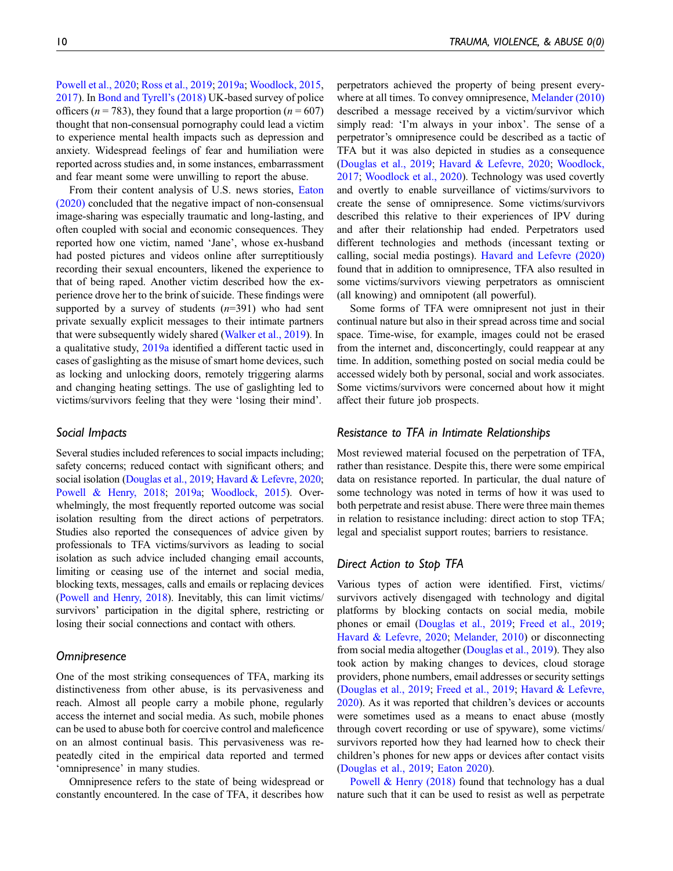[Powell et al., 2020;](#page-15-19) [Ross et al., 2019](#page-15-21); [2019a](#page-14-16); [Woodlock, 2015](#page-15-17), [2017](#page-15-5)). In [Bond and Tyrell](#page-14-7)'s (2018) UK-based survey of police officers ( $n = 783$ ), they found that a large proportion ( $n = 607$ ) thought that non-consensual pornography could lead a victim to experience mental health impacts such as depression and anxiety. Widespread feelings of fear and humiliation were reported across studies and, in some instances, embarrassment and fear meant some were unwilling to report the abuse.

From their content analysis of U.S. news stories, [Eaton](#page-14-11) [\(2020\)](#page-14-11) concluded that the negative impact of non-consensual image-sharing was especially traumatic and long-lasting, and often coupled with social and economic consequences. They reported how one victim, named 'Jane', whose ex-husband had posted pictures and videos online after surreptitiously recording their sexual encounters, likened the experience to that of being raped. Another victim described how the experience drove her to the brink of suicide. These findings were supported by a survey of students  $(n=391)$  who had sent private sexually explicit messages to their intimate partners that were subsequently widely shared [\(Walker et al., 2019](#page-15-22)). In a qualitative study, [2019a](#page-14-16) identified a different tactic used in cases of gaslighting as the misuse of smart home devices, such as locking and unlocking doors, remotely triggering alarms and changing heating settings. The use of gaslighting led to victims/survivors feeling that they were 'losing their mind'.

## Social Impacts

Several studies included references to social impacts including; safety concerns; reduced contact with significant others; and social isolation [\(Douglas et al., 2019](#page-14-10); [Havard & Lefevre, 2020;](#page-14-14) [Powell & Henry, 2018](#page-15-20); [2019a](#page-14-16); [Woodlock, 2015](#page-15-17)). Overwhelmingly, the most frequently reported outcome was social isolation resulting from the direct actions of perpetrators. Studies also reported the consequences of advice given by professionals to TFA victims/survivors as leading to social isolation as such advice included changing email accounts, limiting or ceasing use of the internet and social media, blocking texts, messages, calls and emails or replacing devices [\(Powell and Henry, 2018\)](#page-15-20). Inevitably, this can limit victims/ survivors' participation in the digital sphere, restricting or losing their social connections and contact with others.

## **Omnipresence**

One of the most striking consequences of TFA, marking its distinctiveness from other abuse, is its pervasiveness and reach. Almost all people carry a mobile phone, regularly access the internet and social media. As such, mobile phones can be used to abuse both for coercive control and maleficence on an almost continual basis. This pervasiveness was repeatedly cited in the empirical data reported and termed 'omnipresence' in many studies.

Omnipresence refers to the state of being widespread or constantly encountered. In the case of TFA, it describes how perpetrators achieved the property of being present everywhere at all times. To convey omnipresence, [Melander \(2010\)](#page-15-14) described a message received by a victim/survivor which simply read: 'I'm always in your inbox'. The sense of a perpetrator's omnipresence could be described as a tactic of TFA but it was also depicted in studies as a consequence ([Douglas et al., 2019](#page-14-10); [Havard & Lefevre, 2020;](#page-14-14) [Woodlock,](#page-15-5) [2017;](#page-15-5) [Woodlock et al., 2020](#page-15-7)). Technology was used covertly and overtly to enable surveillance of victims/survivors to create the sense of omnipresence. Some victims/survivors described this relative to their experiences of IPV during and after their relationship had ended. Perpetrators used different technologies and methods (incessant texting or calling, social media postings). [Havard and Lefevre \(2020\)](#page-14-14) found that in addition to omnipresence, TFA also resulted in some victims/survivors viewing perpetrators as omniscient (all knowing) and omnipotent (all powerful).

Some forms of TFA were omnipresent not just in their continual nature but also in their spread across time and social space. Time-wise, for example, images could not be erased from the internet and, disconcertingly, could reappear at any time. In addition, something posted on social media could be accessed widely both by personal, social and work associates. Some victims/survivors were concerned about how it might affect their future job prospects.

## Resistance to TFA in Intimate Relationships

Most reviewed material focused on the perpetration of TFA, rather than resistance. Despite this, there were some empirical data on resistance reported. In particular, the dual nature of some technology was noted in terms of how it was used to both perpetrate and resist abuse. There were three main themes in relation to resistance including: direct action to stop TFA; legal and specialist support routes; barriers to resistance.

# Direct Action to Stop TFA

Various types of action were identified. First, victims/ survivors actively disengaged with technology and digital platforms by blocking contacts on social media, mobile phones or email [\(Douglas et al., 2019](#page-14-10); [Freed et al., 2019;](#page-14-13) [Havard & Lefevre, 2020](#page-14-14); [Melander, 2010\)](#page-15-14) or disconnecting from social media altogether ([Douglas et al., 2019\)](#page-14-10). They also took action by making changes to devices, cloud storage providers, phone numbers, email addresses or security settings ([Douglas et al., 2019](#page-14-10); [Freed et al., 2019](#page-14-13); [Havard & Lefevre,](#page-14-14) [2020\)](#page-14-14). As it was reported that children's devices or accounts were sometimes used as a means to enact abuse (mostly through covert recording or use of spyware), some victims/ survivors reported how they had learned how to check their children's phones for new apps or devices after contact visits ([Douglas et al., 2019;](#page-14-10) [Eaton 2020](#page-14-11)).

[Powell & Henry \(2018\)](#page-14-19) found that technology has a dual nature such that it can be used to resist as well as perpetrate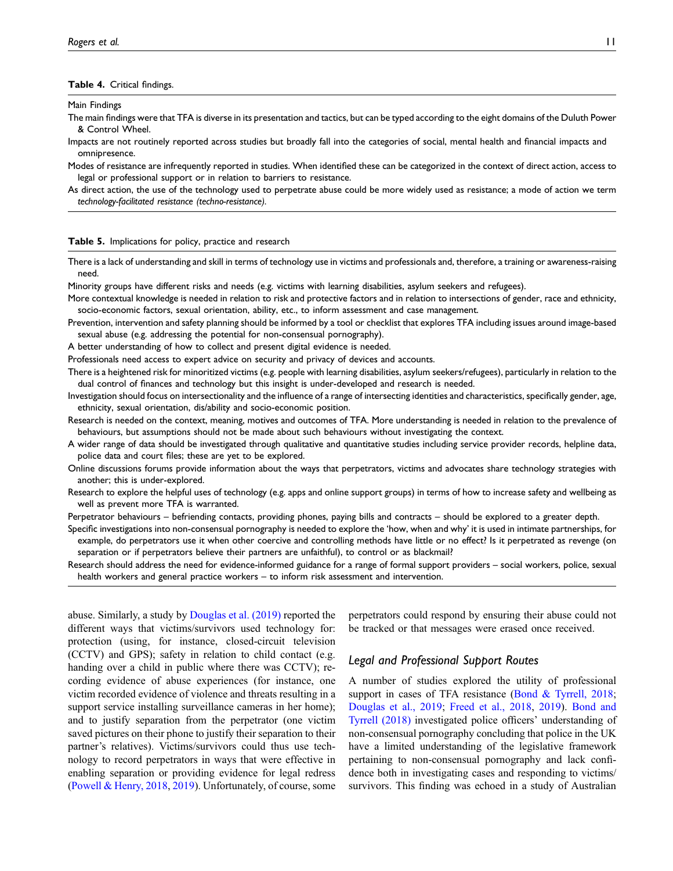#### <span id="page-10-0"></span>Table 4. Critical findings.

Main Findings

The main findings were that TFA is diverse in its presentation and tactics, but can be typed according to the eight domains of the Duluth Power & Control Wheel.

Impacts are not routinely reported across studies but broadly fall into the categories of social, mental health and financial impacts and omnipresence.

Modes of resistance are infrequently reported in studies. When identified these can be categorized in the context of direct action, access to legal or professional support or in relation to barriers to resistance.

As direct action, the use of the technology used to perpetrate abuse could be more widely used as resistance; a mode of action we term technology-facilitated resistance (techno-resistance).

#### <span id="page-10-1"></span>Table 5. Implications for policy, practice and research

There is a lack of understanding and skill in terms of technology use in victims and professionals and, therefore, a training or awareness-raising need.

Minority groups have different risks and needs (e.g. victims with learning disabilities, asylum seekers and refugees).

More contextual knowledge is needed in relation to risk and protective factors and in relation to intersections of gender, race and ethnicity, socio-economic factors, sexual orientation, ability, etc., to inform assessment and case management.

Prevention, intervention and safety planning should be informed by a tool or checklist that explores TFA including issues around image-based sexual abuse (e.g. addressing the potential for non-consensual pornography).

A better understanding of how to collect and present digital evidence is needed.

Professionals need access to expert advice on security and privacy of devices and accounts.

There is a heightened risk for minoritized victims (e.g. people with learning disabilities, asylum seekers/refugees), particularly in relation to the dual control of finances and technology but this insight is under-developed and research is needed.

Investigation should focus on intersectionality and the influence of a range of intersecting identities and characteristics, specifically gender, age, ethnicity, sexual orientation, dis/ability and socio-economic position.

Research is needed on the context, meaning, motives and outcomes of TFA. More understanding is needed in relation to the prevalence of behaviours, but assumptions should not be made about such behaviours without investigating the context.

A wider range of data should be investigated through qualitative and quantitative studies including service provider records, helpline data, police data and court files; these are yet to be explored.

- Online discussions forums provide information about the ways that perpetrators, victims and advocates share technology strategies with another; this is under-explored.
- Research to explore the helpful uses of technology (e.g. apps and online support groups) in terms of how to increase safety and wellbeing as well as prevent more TFA is warranted.
- Perpetrator behaviours befriending contacts, providing phones, paying bills and contracts should be explored to a greater depth.

Specific investigations into non-consensual pornography is needed to explore the 'how, when and why' it is used in intimate partnerships, for example, do perpetrators use it when other coercive and controlling methods have little or no effect? Is it perpetrated as revenge (on separation or if perpetrators believe their partners are unfaithful), to control or as blackmail?

Research should address the need for evidence-informed guidance for a range of formal support providers – social workers, police, sexual health workers and general practice workers – to inform risk assessment and intervention.

abuse. Similarly, a study by [Douglas et al. \(2019\)](#page-14-10) reported the different ways that victims/survivors used technology for: protection (using, for instance, closed-circuit television (CCTV) and GPS); safety in relation to child contact (e.g. handing over a child in public where there was CCTV); recording evidence of abuse experiences (for instance, one victim recorded evidence of violence and threats resulting in a support service installing surveillance cameras in her home); and to justify separation from the perpetrator (one victim saved pictures on their phone to justify their separation to their partner's relatives). Victims/survivors could thus use technology to record perpetrators in ways that were effective in enabling separation or providing evidence for legal redress [\(Powell & Henry, 2018,](#page-15-20) [2019](#page-15-18)). Unfortunately, of course, some perpetrators could respond by ensuring their abuse could not be tracked or that messages were erased once received.

## Legal and Professional Support Routes

A number of studies explored the utility of professional support in cases of TFA resistance ([Bond & Tyrrell, 2018](#page-14-7); [Douglas et al., 2019](#page-14-10); [Freed et al., 2018,](#page-14-12) [2019\)](#page-14-13). [Bond and](#page-14-7) [Tyrrell \(2018\)](#page-14-7) investigated police officers' understanding of non-consensual pornography concluding that police in the UK have a limited understanding of the legislative framework pertaining to non-consensual pornography and lack confidence both in investigating cases and responding to victims/ survivors. This finding was echoed in a study of Australian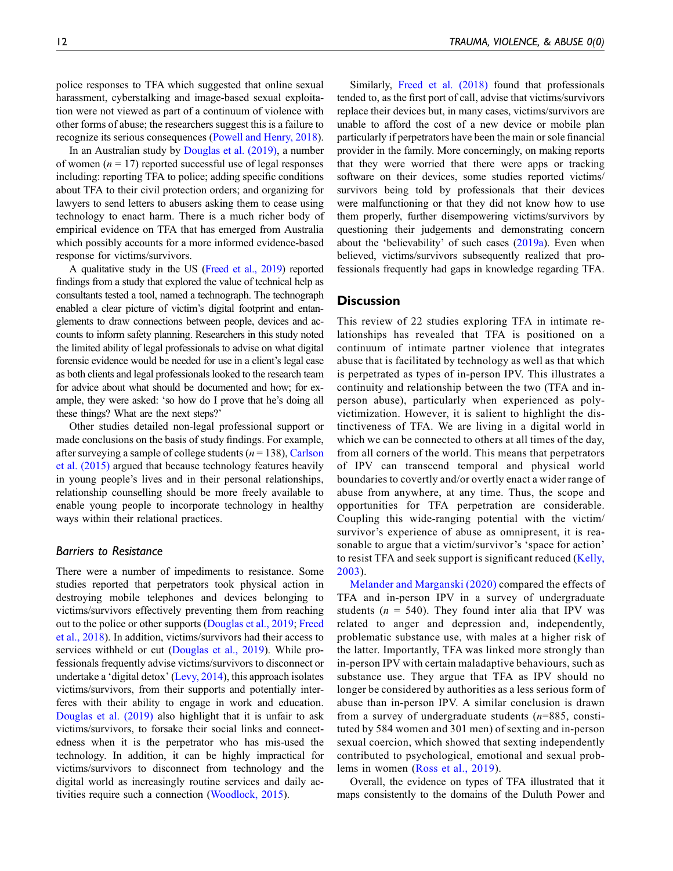police responses to TFA which suggested that online sexual harassment, cyberstalking and image-based sexual exploitation were not viewed as part of a continuum of violence with other forms of abuse; the researchers suggest this is a failure to recognize its serious consequences ([Powell and Henry, 2018\)](#page-15-20).

In an Australian study by [Douglas et al. \(2019\),](#page-14-10) a number of women ( $n = 17$ ) reported successful use of legal responses including: reporting TFA to police; adding specific conditions about TFA to their civil protection orders; and organizing for lawyers to send letters to abusers asking them to cease using technology to enact harm. There is a much richer body of empirical evidence on TFA that has emerged from Australia which possibly accounts for a more informed evidence-based response for victims/survivors.

A qualitative study in the US ([Freed et al., 2019\)](#page-14-13) reported findings from a study that explored the value of technical help as consultants tested a tool, named a technograph. The technograph enabled a clear picture of victim's digital footprint and entanglements to draw connections between people, devices and accounts to inform safety planning. Researchers in this study noted the limited ability of legal professionals to advise on what digital forensic evidence would be needed for use in a client's legal case as both clients and legal professionals looked to the research team for advice about what should be documented and how; for example, they were asked: 'so how do I prove that he's doing all these things? What are the next steps?'

Other studies detailed non-legal professional support or made conclusions on the basis of study findings. For example, after surveying a sample of college students ( $n = 138$ ), [Carlson](#page-14-8) [et al. \(2015\)](#page-14-8) argued that because technology features heavily in young people's lives and in their personal relationships, relationship counselling should be more freely available to enable young people to incorporate technology in healthy ways within their relational practices.

## Barriers to Resistance

There were a number of impediments to resistance. Some studies reported that perpetrators took physical action in destroying mobile telephones and devices belonging to victims/survivors effectively preventing them from reaching out to the police or other supports ([Douglas et al., 2019](#page-14-10); [Freed](#page-14-12) [et al., 2018](#page-14-12)). In addition, victims/survivors had their access to services withheld or cut ([Douglas et al., 2019\)](#page-14-10). While professionals frequently advise victims/survivors to disconnect or undertake a 'digital detox' [\(Levy, 2014](#page-14-20)), this approach isolates victims/survivors, from their supports and potentially interferes with their ability to engage in work and education. [Douglas et al. \(2019\)](#page-14-10) also highlight that it is unfair to ask victims/survivors, to forsake their social links and connectedness when it is the perpetrator who has mis-used the technology. In addition, it can be highly impractical for victims/survivors to disconnect from technology and the digital world as increasingly routine services and daily activities require such a connection ([Woodlock, 2015](#page-15-17)).

Similarly, [Freed et al. \(2018\)](#page-14-12) found that professionals tended to, as the first port of call, advise that victims/survivors replace their devices but, in many cases, victims/survivors are unable to afford the cost of a new device or mobile plan particularly if perpetrators have been the main or sole financial provider in the family. More concerningly, on making reports that they were worried that there were apps or tracking software on their devices, some studies reported victims/ survivors being told by professionals that their devices were malfunctioning or that they did not know how to use them properly, further disempowering victims/survivors by questioning their judgements and demonstrating concern about the 'believability' of such cases [\(2019a\)](#page-14-16). Even when believed, victims/survivors subsequently realized that professionals frequently had gaps in knowledge regarding TFA.

## **Discussion**

This review of 22 studies exploring TFA in intimate relationships has revealed that TFA is positioned on a continuum of intimate partner violence that integrates abuse that is facilitated by technology as well as that which is perpetrated as types of in-person IPV. This illustrates a continuity and relationship between the two (TFA and inperson abuse), particularly when experienced as polyvictimization. However, it is salient to highlight the distinctiveness of TFA. We are living in a digital world in which we can be connected to others at all times of the day, from all corners of the world. This means that perpetrators of IPV can transcend temporal and physical world boundaries to covertly and/or overtly enact a wider range of abuse from anywhere, at any time. Thus, the scope and opportunities for TFA perpetration are considerable. Coupling this wide-ranging potential with the victim/ survivor's experience of abuse as omnipresent, it is reasonable to argue that a victim/survivor's 'space for action' to resist TFA and seek support is significant reduced ([Kelly,](#page-14-21) [2003\)](#page-14-21).

[Melander and Marganski \(2020\)](#page-15-15) compared the effects of TFA and in-person IPV in a survey of undergraduate students ( $n = 540$ ). They found inter alia that IPV was related to anger and depression and, independently, problematic substance use, with males at a higher risk of the latter. Importantly, TFA was linked more strongly than in-person IPV with certain maladaptive behaviours, such as substance use. They argue that TFA as IPV should no longer be considered by authorities as a less serious form of abuse than in-person IPV. A similar conclusion is drawn from a survey of undergraduate students  $(n=885, \text{ consti-}$ tuted by 584 women and 301 men) of sexting and in-person sexual coercion, which showed that sexting independently contributed to psychological, emotional and sexual problems in women [\(Ross et al., 2019](#page-15-21)).

Overall, the evidence on types of TFA illustrated that it maps consistently to the domains of the Duluth Power and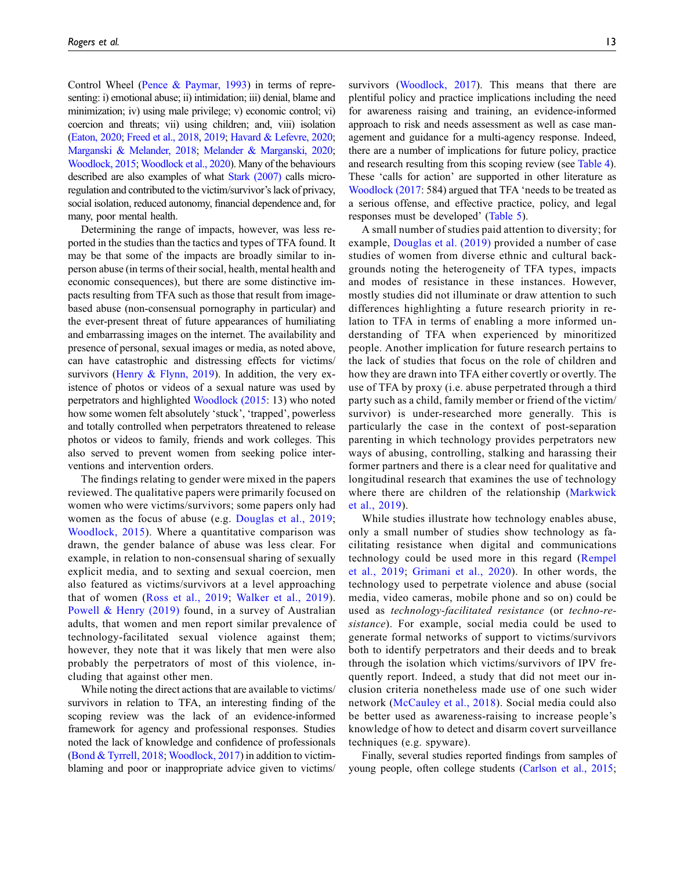Control Wheel [\(Pence & Paymar, 1993\)](#page-15-16) in terms of representing: i) emotional abuse; ii) intimidation; iii) denial, blame and minimization; iv) using male privilege; v) economic control; vi) coercion and threats; vii) using children; and, viii) isolation [\(Eaton, 2020](#page-14-11); [Freed et al., 2018,](#page-14-12) [2019;](#page-14-13) [Havard & Lefevre, 2020;](#page-14-14) [Marganski & Melander, 2018;](#page-15-10) [Melander & Marganski, 2020;](#page-15-15) [Woodlock, 2015;](#page-15-17) [Woodlock et al., 2020\)](#page-15-7). Many of the behaviours described are also examples of what [Stark \(2007\)](#page-15-2) calls microregulation and contributed to the victim/survivor's lack of privacy, social isolation, reduced autonomy, financial dependence and, for many, poor mental health.

Determining the range of impacts, however, was less reported in the studies than the tactics and types of TFA found. It may be that some of the impacts are broadly similar to inperson abuse (in terms of their social, health, mental health and economic consequences), but there are some distinctive impacts resulting from TFA such as those that result from imagebased abuse (non-consensual pornography in particular) and the ever-present threat of future appearances of humiliating and embarrassing images on the internet. The availability and presence of personal, sexual images or media, as noted above, can have catastrophic and distressing effects for victims/ survivors ([Henry & Flynn, 2019](#page-14-15)). In addition, the very existence of photos or videos of a sexual nature was used by perpetrators and highlighted [Woodlock \(2015](#page-15-17): 13) who noted how some women felt absolutely 'stuck', 'trapped', powerless and totally controlled when perpetrators threatened to release photos or videos to family, friends and work colleges. This also served to prevent women from seeking police interventions and intervention orders.

The findings relating to gender were mixed in the papers reviewed. The qualitative papers were primarily focused on women who were victims/survivors; some papers only had women as the focus of abuse (e.g. [Douglas et al., 2019;](#page-14-10) [Woodlock, 2015](#page-15-17)). Where a quantitative comparison was drawn, the gender balance of abuse was less clear. For example, in relation to non-consensual sharing of sexually explicit media, and to sexting and sexual coercion, men also featured as victims/survivors at a level approaching that of women ([Ross et al., 2019;](#page-15-21) [Walker et al., 2019](#page-15-22)). [Powell & Henry \(2019\)](#page-15-18) found, in a survey of Australian adults, that women and men report similar prevalence of technology-facilitated sexual violence against them; however, they note that it was likely that men were also probably the perpetrators of most of this violence, including that against other men.

While noting the direct actions that are available to victims/ survivors in relation to TFA, an interesting finding of the scoping review was the lack of an evidence-informed framework for agency and professional responses. Studies noted the lack of knowledge and confidence of professionals [\(Bond & Tyrrell, 2018;](#page-14-7) [Woodlock, 2017](#page-15-5)) in addition to victimblaming and poor or inappropriate advice given to victims/

survivors ([Woodlock, 2017](#page-15-5)). This means that there are plentiful policy and practice implications including the need for awareness raising and training, an evidence-informed approach to risk and needs assessment as well as case management and guidance for a multi-agency response. Indeed, there are a number of implications for future policy, practice and research resulting from this scoping review (see [Table 4](#page-10-0)). These 'calls for action' are supported in other literature as [Woodlock \(2017](#page-15-5): 584) argued that TFA 'needs to be treated as a serious offense, and effective practice, policy, and legal responses must be developed' ([Table 5](#page-10-1)).

A small number of studies paid attention to diversity; for example, [Douglas et al. \(2019\)](#page-14-10) provided a number of case studies of women from diverse ethnic and cultural backgrounds noting the heterogeneity of TFA types, impacts and modes of resistance in these instances. However, mostly studies did not illuminate or draw attention to such differences highlighting a future research priority in relation to TFA in terms of enabling a more informed understanding of TFA when experienced by minoritized people. Another implication for future research pertains to the lack of studies that focus on the role of children and how they are drawn into TFA either covertly or overtly. The use of TFA by proxy (i.e. abuse perpetrated through a third party such as a child, family member or friend of the victim/ survivor) is under-researched more generally. This is particularly the case in the context of post-separation parenting in which technology provides perpetrators new ways of abusing, controlling, stalking and harassing their former partners and there is a clear need for qualitative and longitudinal research that examines the use of technology where there are children of the relationship ([Markwick](#page-15-23) [et al., 2019\)](#page-15-23).

While studies illustrate how technology enables abuse, only a small number of studies show technology as facilitating resistance when digital and communications technology could be used more in this regard ([Rempel](#page-15-24) [et al., 2019](#page-15-24); [Grimani et al., 2020](#page-14-22)). In other words, the technology used to perpetrate violence and abuse (social media, video cameras, mobile phone and so on) could be used as technology-facilitated resistance (or techno-resistance). For example, social media could be used to generate formal networks of support to victims/survivors both to identify perpetrators and their deeds and to break through the isolation which victims/survivors of IPV frequently report. Indeed, a study that did not meet our inclusion criteria nonetheless made use of one such wider network ([McCauley et al., 2018\)](#page-15-25). Social media could also be better used as awareness-raising to increase people's knowledge of how to detect and disarm covert surveillance techniques (e.g. spyware).

Finally, several studies reported findings from samples of young people, often college students [\(Carlson et al., 2015](#page-14-8);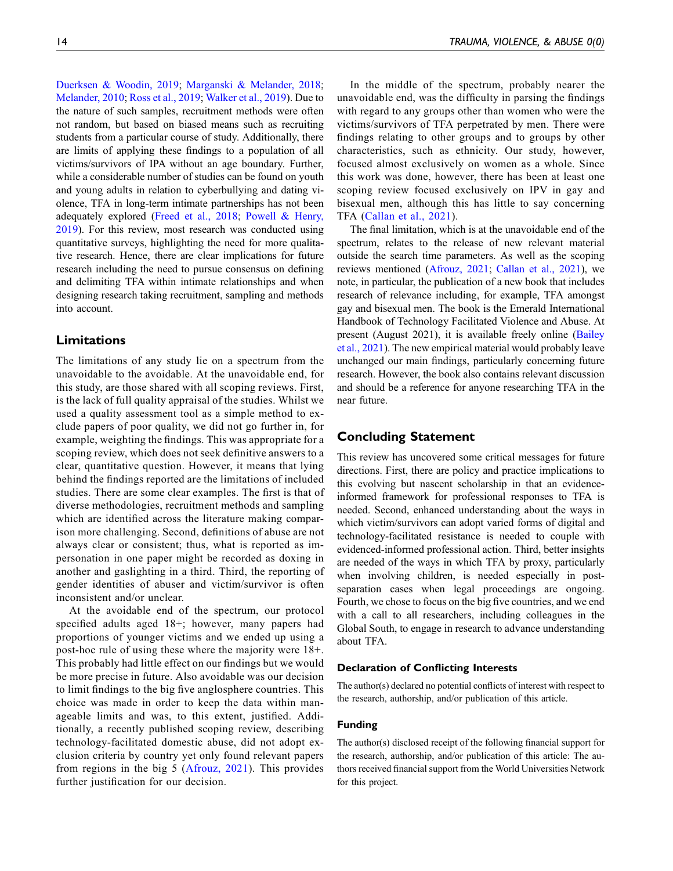[Duerksen & Woodin, 2019;](#page-14-3) [Marganski & Melander, 2018;](#page-15-10) [Melander, 2010](#page-15-14); [Ross et al., 2019](#page-15-21); [Walker et al., 2019\)](#page-15-22). Due to the nature of such samples, recruitment methods were often not random, but based on biased means such as recruiting students from a particular course of study. Additionally, there are limits of applying these findings to a population of all victims/survivors of IPA without an age boundary. Further, while a considerable number of studies can be found on youth and young adults in relation to cyberbullying and dating violence, TFA in long-term intimate partnerships has not been adequately explored ([Freed et al., 2018](#page-14-12); [Powell & Henry,](#page-15-18) [2019](#page-15-18)). For this review, most research was conducted using quantitative surveys, highlighting the need for more qualitative research. Hence, there are clear implications for future research including the need to pursue consensus on defining and delimiting TFA within intimate relationships and when designing research taking recruitment, sampling and methods into account.

# Limitations

The limitations of any study lie on a spectrum from the unavoidable to the avoidable. At the unavoidable end, for this study, are those shared with all scoping reviews. First, is the lack of full quality appraisal of the studies. Whilst we used a quality assessment tool as a simple method to exclude papers of poor quality, we did not go further in, for example, weighting the findings. This was appropriate for a scoping review, which does not seek definitive answers to a clear, quantitative question. However, it means that lying behind the findings reported are the limitations of included studies. There are some clear examples. The first is that of diverse methodologies, recruitment methods and sampling which are identified across the literature making comparison more challenging. Second, definitions of abuse are not always clear or consistent; thus, what is reported as impersonation in one paper might be recorded as doxing in another and gaslighting in a third. Third, the reporting of gender identities of abuser and victim/survivor is often inconsistent and/or unclear.

At the avoidable end of the spectrum, our protocol specified adults aged 18+; however, many papers had proportions of younger victims and we ended up using a post-hoc rule of using these where the majority were 18+. This probably had little effect on our findings but we would be more precise in future. Also avoidable was our decision to limit findings to the big five anglosphere countries. This choice was made in order to keep the data within manageable limits and was, to this extent, justified. Additionally, a recently published scoping review, describing technology-facilitated domestic abuse, did not adopt exclusion criteria by country yet only found relevant papers from regions in the big 5 ([Afrouz, 2021](#page-14-1)). This provides further justification for our decision.

In the middle of the spectrum, probably nearer the unavoidable end, was the difficulty in parsing the findings with regard to any groups other than women who were the victims/survivors of TFA perpetrated by men. There were findings relating to other groups and to groups by other characteristics, such as ethnicity. Our study, however, focused almost exclusively on women as a whole. Since this work was done, however, there has been at least one scoping review focused exclusively on IPV in gay and bisexual men, although this has little to say concerning TFA ([Callan et al., 2021](#page-14-23)).

The final limitation, which is at the unavoidable end of the spectrum, relates to the release of new relevant material outside the search time parameters. As well as the scoping reviews mentioned ([Afrouz, 2021;](#page-14-1) [Callan et al., 2021\)](#page-14-23), we note, in particular, the publication of a new book that includes research of relevance including, for example, TFA amongst gay and bisexual men. The book is the Emerald International Handbook of Technology Facilitated Violence and Abuse. At present (August 2021), it is available freely online [\(Bailey](#page-14-24) [et al., 2021](#page-14-24)). The new empirical material would probably leave unchanged our main findings, particularly concerning future research. However, the book also contains relevant discussion and should be a reference for anyone researching TFA in the near future.

## Concluding Statement

This review has uncovered some critical messages for future directions. First, there are policy and practice implications to this evolving but nascent scholarship in that an evidenceinformed framework for professional responses to TFA is needed. Second, enhanced understanding about the ways in which victim/survivors can adopt varied forms of digital and technology-facilitated resistance is needed to couple with evidenced-informed professional action. Third, better insights are needed of the ways in which TFA by proxy, particularly when involving children, is needed especially in postseparation cases when legal proceedings are ongoing. Fourth, we chose to focus on the big five countries, and we end with a call to all researchers, including colleagues in the Global South, to engage in research to advance understanding about TFA.

## Declaration of Conflicting Interests

The author(s) declared no potential conflicts of interest with respect to the research, authorship, and/or publication of this article.

#### Funding

The author(s) disclosed receipt of the following financial support for the research, authorship, and/or publication of this article: The authors received financial support from the World Universities Network for this project.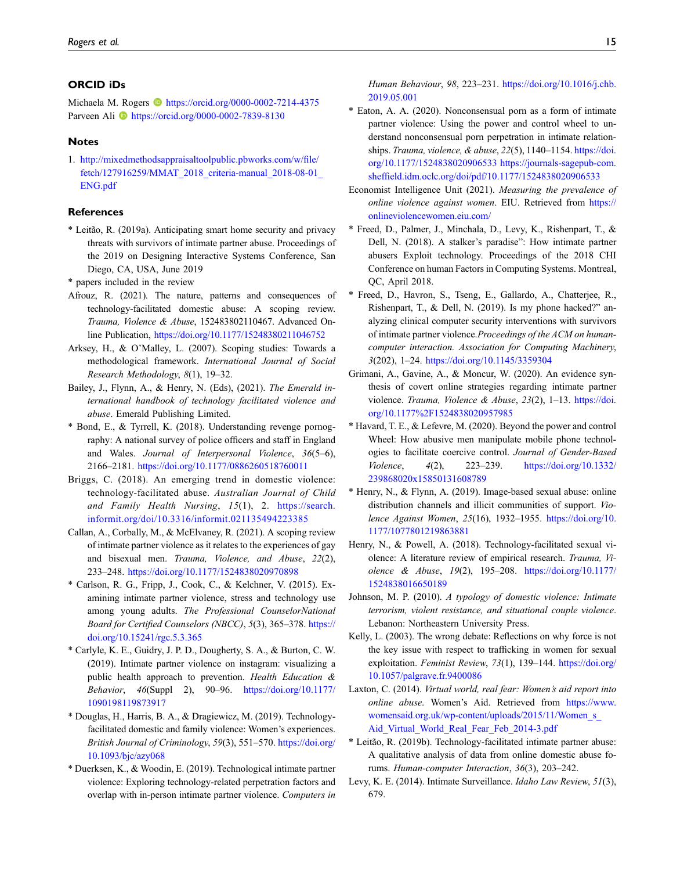## ORCID iDs

Michaela M. Rogers **b** <https://orcid.org/0000-0002-7214-4375> Parveen Ali **D** <https://orcid.org/0000-0002-7839-8130>

#### **Notes**

<span id="page-14-6"></span>1. [http://mixedmethodsappraisaltoolpublic.pbworks.com/w/](http://mixedmethodsappraisaltoolpublic.pbworks.com/w/file/fetch/127916259/MMAT_2018_criteria-manual_2018-08-01_ENG.pdf)file/ [fetch/127916259/MMAT\\_2018\\_criteria-manual\\_2018-08-01\\_](http://mixedmethodsappraisaltoolpublic.pbworks.com/w/file/fetch/127916259/MMAT_2018_criteria-manual_2018-08-01_ENG.pdf) [ENG.pdf](http://mixedmethodsappraisaltoolpublic.pbworks.com/w/file/fetch/127916259/MMAT_2018_criteria-manual_2018-08-01_ENG.pdf)

#### **References**

- <span id="page-14-16"></span>\* Leitão, R. (2019a). Anticipating smart home security and privacy threats with survivors of intimate partner abuse. Proceedings of the 2019 on Designing Interactive Systems Conference, San Diego, CA, USA, June 2019
- \* papers included in the review
- <span id="page-14-1"></span>Afrouz, R. (2021). The nature, patterns and consequences of technology-facilitated domestic abuse: A scoping review. Trauma, Violence & Abuse, 152483802110467. Advanced Online Publication, <https://doi.org/10.1177/15248380211046752>
- <span id="page-14-5"></span>Arksey, H., & O'Malley, L. (2007). Scoping studies: Towards a methodological framework. International Journal of Social Research Methodology, 8(1), 19–32.
- <span id="page-14-24"></span>Bailey, J., Flynn, A., & Henry, N. (Eds), (2021). The Emerald international handbook of technology facilitated violence and abuse. Emerald Publishing Limited.
- <span id="page-14-7"></span>\* Bond, E., & Tyrrell, K. (2018). Understanding revenge pornography: A national survey of police officers and staff in England and Wales. Journal of Interpersonal Violence, 36(5–6), 2166–2181. <https://doi.org/10.1177/0886260518760011>
- <span id="page-14-0"></span>Briggs, C. (2018). An emerging trend in domestic violence: technology-facilitated abuse. Australian Journal of Child and Family Health Nursing, 15(1), 2. [https://search.](https://search.informit.org/doi/10.3316/informit.021135494223385) [informit.org/doi/10.3316/informit.021135494223385](https://search.informit.org/doi/10.3316/informit.021135494223385)
- <span id="page-14-23"></span>Callan, A., Corbally, M., & McElvaney, R. (2021). A scoping review of intimate partner violence as it relates to the experiences of gay and bisexual men. Trauma, Violence, and Abuse, 22(2), 233–248. <https://doi.org/10.1177/1524838020970898>
- <span id="page-14-8"></span>\* Carlson, R. G., Fripp, J., Cook, C., & Kelchner, V. (2015). Examining intimate partner violence, stress and technology use among young adults. The Professional CounselorNational Board for Certified Counselors (NBCC), 5(3), 365–378. [https://](https://doi.org/10.15241/rgc.5.3.365) [doi.org/10.15241/rgc.5.3.365](https://doi.org/10.15241/rgc.5.3.365)
- <span id="page-14-9"></span>\* Carlyle, K. E., Guidry, J. P. D., Dougherty, S. A., & Burton, C. W. (2019). Intimate partner violence on instagram: visualizing a public health approach to prevention. Health Education & Behavior, 46(Suppl 2), 90–96. [https://doi.org/10.1177/](https://doi.org/10.1177/1090198119873917) [1090198119873917](https://doi.org/10.1177/1090198119873917)
- <span id="page-14-10"></span>\* Douglas, H., Harris, B. A., & Dragiewicz, M. (2019). Technologyfacilitated domestic and family violence: Women's experiences. British Journal of Criminology, 59(3), 551–570. [https://doi.org/](https://doi.org/10.1093/bjc/azy068) [10.1093/bjc/azy068](https://doi.org/10.1093/bjc/azy068)
- <span id="page-14-3"></span>\* Duerksen, K., & Woodin, E. (2019). Technological intimate partner violence: Exploring technology-related perpetration factors and overlap with in-person intimate partner violence. Computers in

Human Behaviour, 98, 223–231. [https://doi.org/10.1016/j.chb.](https://doi.org/10.1016/j.chb.2019.05.001) [2019.05.001](https://doi.org/10.1016/j.chb.2019.05.001)

- <span id="page-14-11"></span>\* Eaton, A. A. (2020). Nonconsensual porn as a form of intimate partner violence: Using the power and control wheel to understand nonconsensual porn perpetration in intimate relationships. Trauma, violence, & abuse, 22(5), 1140-1154. [https://doi.](https://doi.org/10.1177/1524838020906533) [org/10.1177/1524838020906533](https://doi.org/10.1177/1524838020906533) [https://journals-sagepub-com.](https://journals-sagepub-com.sheffield.idm.oclc.org/doi/pdf/10.1177/1524838020906533) sheffi[eld.idm.oclc.org/doi/pdf/10.1177/1524838020906533](https://journals-sagepub-com.sheffield.idm.oclc.org/doi/pdf/10.1177/1524838020906533)
- <span id="page-14-4"></span>Economist Intelligence Unit (2021). Measuring the prevalence of online violence against women. EIU. Retrieved from [https://](https://onlineviolencewomen.eiu.com/) [onlineviolencewomen.eiu.com/](https://onlineviolencewomen.eiu.com/)
- <span id="page-14-12"></span>\* Freed, D., Palmer, J., Minchala, D., Levy, K., Rishenpart, T., & Dell, N. (2018). A stalker's paradise": How intimate partner abusers Exploit technology. Proceedings of the 2018 CHI Conference on human Factors in Computing Systems. Montreal, QC, April 2018.
- <span id="page-14-13"></span>\* Freed, D., Havron, S., Tseng, E., Gallardo, A., Chatterjee, R., Rishenpart, T., & Dell, N. (2019). Is my phone hacked?" analyzing clinical computer security interventions with survivors of intimate partner violence.Proceedings of the ACM on humancomputer interaction. Association for Computing Machinery, 3(202), 1–24. <https://doi.org/10.1145/3359304>
- <span id="page-14-22"></span>Grimani, A., Gavine, A., & Moncur, W. (2020). An evidence synthesis of covert online strategies regarding intimate partner violence. Trauma, Violence & Abuse, 23(2), 1-13. [https://doi.](https://doi.org/10.1177%2F1524838020957985) [org/10.1177%2F1524838020957985](https://doi.org/10.1177%2F1524838020957985)
- <span id="page-14-14"></span>\* Havard, T. E., & Lefevre, M. (2020). Beyond the power and control Wheel: How abusive men manipulate mobile phone technologies to facilitate coercive control. Journal of Gender-Based Violence, 4(2), 223–239. [https://doi.org/10.1332/](https://doi.org/10.1332/239868020x15850131608789) [239868020x15850131608789](https://doi.org/10.1332/239868020x15850131608789)
- <span id="page-14-15"></span>\* Henry, N., & Flynn, A. (2019). Image-based sexual abuse: online distribution channels and illicit communities of support. Violence Against Women, 25(16), 1932–1955. [https://doi.org/10.](https://doi.org/10.1177/1077801219863881) [1177/1077801219863881](https://doi.org/10.1177/1077801219863881)
- <span id="page-14-19"></span>Henry, N., & Powell, A. (2018). Technology-facilitated sexual violence: A literature review of empirical research. Trauma, Violence & Abuse, 19(2), 195–208. [https://doi.org/10.1177/](https://doi.org/10.1177/1524838016650189) [1524838016650189](https://doi.org/10.1177/1524838016650189)
- <span id="page-14-17"></span>Johnson, M. P. (2010). A typology of domestic violence: Intimate terrorism, violent resistance, and situational couple violence. Lebanon: Northeastern University Press.
- <span id="page-14-21"></span>Kelly, L. (2003). The wrong debate: Reflections on why force is not the key issue with respect to trafficking in women for sexual exploitation. Feminist Review, 73(1), 139-144. [https://doi.org/](https://doi.org/10.1057/palgrave.fr.9400086) [10.1057/palgrave.fr.9400086](https://doi.org/10.1057/palgrave.fr.9400086)
- <span id="page-14-2"></span>Laxton, C. (2014). Virtual world, real fear: Women's aid report into online abuse. Women's Aid. Retrieved from [https://www.](https://www.womensaid.org.uk/wp-content/uploads/2015/11/Women_s_Aid_Virtual_World_Real_Fear_Feb_2014-3.pdf) [womensaid.org.uk/wp-content/uploads/2015/11/Women\\_s\\_](https://www.womensaid.org.uk/wp-content/uploads/2015/11/Women_s_Aid_Virtual_World_Real_Fear_Feb_2014-3.pdf) [Aid\\_Virtual\\_World\\_Real\\_Fear\\_Feb\\_2014-3.pdf](https://www.womensaid.org.uk/wp-content/uploads/2015/11/Women_s_Aid_Virtual_World_Real_Fear_Feb_2014-3.pdf)
- <span id="page-14-18"></span>\* Leitão, R. (2019b). Technology-facilitated intimate partner abuse: A qualitative analysis of data from online domestic abuse forums. Human-computer Interaction, 36(3), 203–242.
- <span id="page-14-20"></span>Levy, K. E. (2014). Intimate Surveillance. Idaho Law Review, 51(3), 679.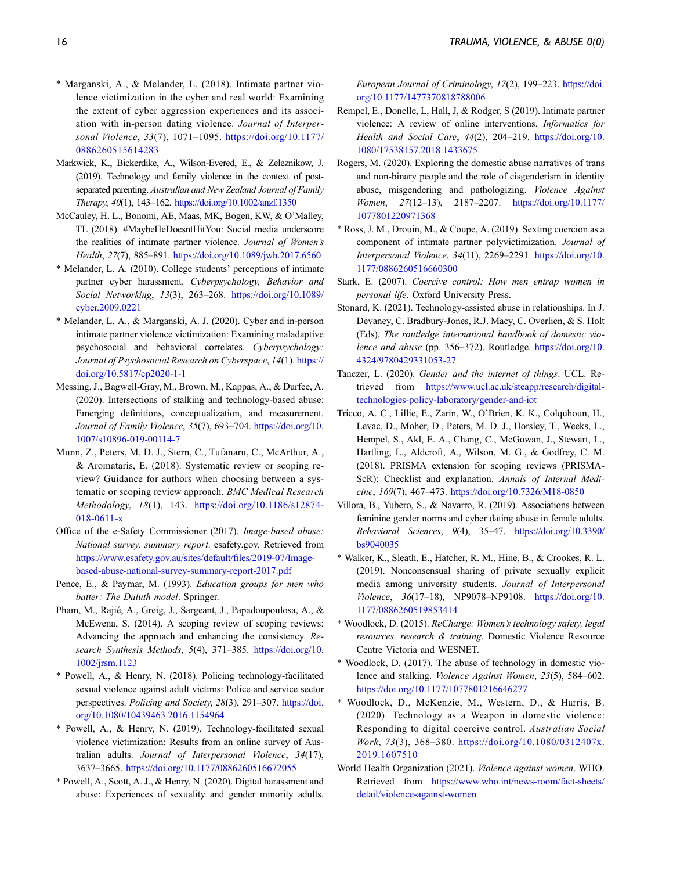- <span id="page-15-10"></span>\* Marganski, A., & Melander, L. (2018). Intimate partner violence victimization in the cyber and real world: Examining the extent of cyber aggression experiences and its association with in-person dating violence. Journal of Interpersonal Violence, 33(7), 1071-1095. [https://doi.org/10.1177/](https://doi.org/10.1177/0886260515614283) [0886260515614283](https://doi.org/10.1177/0886260515614283)
- <span id="page-15-23"></span>Markwick, K., Bickerdike, A., Wilson-Evered, E., & Zeleznikow, J. (2019). Technology and family violence in the context of postseparated parenting. Australian and New Zealand Journal of Family Therapy, 40(1), 143–162. <https://doi.org/10.1002/anzf.1350>
- <span id="page-15-25"></span>McCauley, H. L., Bonomi, AE, Maas, MK, Bogen, KW, & O'Malley, TL (2018). #MaybeHeDoesntHitYou: Social media underscore the realities of intimate partner violence. Journal of Women's Health, 27(7), 885–891. <https://doi.org/10.1089/jwh.2017.6560>
- <span id="page-15-14"></span>\* Melander, L. A. (2010). College students' perceptions of intimate partner cyber harassment. Cyberpsychology, Behavior and Social Networking, 13(3), 263–268. [https://doi.org/10.1089/](https://doi.org/10.1089/cyber.2009.0221) [cyber.2009.0221](https://doi.org/10.1089/cyber.2009.0221)
- <span id="page-15-15"></span>\* Melander, L. A., & Marganski, A. J. (2020). Cyber and in-person intimate partner violence victimization: Examining maladaptive psychosocial and behavioral correlates. Cyberpsychology: Journal of Psychosocial Research on Cyberspace, 14(1). [https://](https://doi.org/10.5817/cp2020-1-1) [doi.org/10.5817/cp2020-1-1](https://doi.org/10.5817/cp2020-1-1)
- <span id="page-15-4"></span>Messing, J., Bagwell-Gray, M., Brown, M., Kappas, A., & Durfee, A. (2020). Intersections of stalking and technology-based abuse: Emerging definitions, conceptualization, and measurement. Journal of Family Violence, 35(7), 693–704. [https://doi.org/10.](https://doi.org/10.1007/s10896-019-00114-7) [1007/s10896-019-00114-7](https://doi.org/10.1007/s10896-019-00114-7)
- <span id="page-15-6"></span>Munn, Z., Peters, M. D. J., Stern, C., Tufanaru, C., McArthur, A., & Aromataris, E. (2018). Systematic review or scoping review? Guidance for authors when choosing between a systematic or scoping review approach. BMC Medical Research Methodology, 18(1), 143. [https://doi.org/10.1186/s12874-](https://doi.org/10.1186/s12874-018-0611-x) [018-0611-x](https://doi.org/10.1186/s12874-018-0611-x)
- <span id="page-15-11"></span>Office of the e-Safety Commissioner (2017). Image-based abuse: National survey, summary report. esafety.gov. Retrieved from [https://www.esafety.gov.au/sites/default/](https://www.esafety.gov.au/sites/default/files/2019-07/Image-based-abuse-national-survey-summary-report-2017.pdf)files/2019-07/Image[based-abuse-national-survey-summary-report-2017.pdf](https://www.esafety.gov.au/sites/default/files/2019-07/Image-based-abuse-national-survey-summary-report-2017.pdf)
- <span id="page-15-16"></span>Pence, E., & Paymar, M. (1993). Education groups for men who batter: The Duluth model. Springer.
- <span id="page-15-12"></span>Pham, M., Rajié, A., Greig, J., Sargeant, J., Papadoupoulosa, A., & McEwena, S. (2014). A scoping review of scoping reviews: Advancing the approach and enhancing the consistency. Research Synthesis Methods, 5(4), 371-385. [https://doi.org/10.](https://doi.org/10.1002/jrsm.1123) [1002/jrsm.1123](https://doi.org/10.1002/jrsm.1123)
- <span id="page-15-20"></span>\* Powell, A., & Henry, N. (2018). Policing technology-facilitated sexual violence against adult victims: Police and service sector perspectives. Policing and Society, 28(3), 291-307. [https://doi.](https://doi.org/10.1080/10439463.2016.1154964) [org/10.1080/10439463.2016.1154964](https://doi.org/10.1080/10439463.2016.1154964)
- <span id="page-15-18"></span>\* Powell, A., & Henry, N. (2019). Technology-facilitated sexual violence victimization: Results from an online survey of Australian adults. Journal of Interpersonal Violence, 34(17), 3637–3665. <https://doi.org/10.1177/0886260516672055>
- <span id="page-15-19"></span>\* Powell, A., Scott, A. J., & Henry, N. (2020). Digital harassment and abuse: Experiences of sexuality and gender minority adults.

European Journal of Criminology, 17(2), 199–223. [https://doi.](https://doi.org/10.1177/1477370818788006) [org/10.1177/1477370818788006](https://doi.org/10.1177/1477370818788006)

- <span id="page-15-24"></span>Rempel, E., Donelle, L, Hall, J, & Rodger, S (2019). Intimate partner violence: A review of online interventions. Informatics for Health and Social Care, 44(2), 204–219. [https://doi.org/10.](https://doi.org/10.1080/17538157.2018.1433675) [1080/17538157.2018.1433675](https://doi.org/10.1080/17538157.2018.1433675)
- <span id="page-15-1"></span>Rogers, M. (2020). Exploring the domestic abuse narratives of trans and non-binary people and the role of cisgenderism in identity abuse, misgendering and pathologizing. Violence Against Women, 27(12–13), 2187–2207. [https://doi.org/10.1177/](https://doi.org/10.1177/1077801220971368) [1077801220971368](https://doi.org/10.1177/1077801220971368)
- <span id="page-15-21"></span>\* Ross, J. M., Drouin, M., & Coupe, A. (2019). Sexting coercion as a component of intimate partner polyvictimization. Journal of Interpersonal Violence, 34(11), 2269–2291. [https://doi.org/10.](https://doi.org/10.1177/0886260516660300) [1177/0886260516660300](https://doi.org/10.1177/0886260516660300)
- <span id="page-15-2"></span>Stark, E. (2007). Coercive control: How men entrap women in personal life. Oxford University Press.
- <span id="page-15-9"></span>Stonard, K. (2021). Technology-assisted abuse in relationships. In J. Devaney, C. Bradbury-Jones, R.J. Macy, C. Overlien, & S. Holt (Eds), The routledge international handbook of domestic violence and abuse (pp. 356–372). Routledge. [https://doi.org/10.](https://doi.org/10.4324/9780429331053-27) [4324/9780429331053-27](https://doi.org/10.4324/9780429331053-27)
- <span id="page-15-3"></span>Tanczer, L. (2020). Gender and the internet of things. UCL. Retrieved from [https://www.ucl.ac.uk/steapp/research/digital](https://www.ucl.ac.uk/steapp/research/digital-technologies-policy-laboratory/gender-and-iot)[technologies-policy-laboratory/gender-and-iot](https://www.ucl.ac.uk/steapp/research/digital-technologies-policy-laboratory/gender-and-iot)
- <span id="page-15-13"></span>Tricco, A. C., Lillie, E., Zarin, W., O'Brien, K. K., Colquhoun, H., Levac, D., Moher, D., Peters, M. D. J., Horsley, T., Weeks, L., Hempel, S., Akl, E. A., Chang, C., McGowan, J., Stewart, L., Hartling, L., Aldcroft, A., Wilson, M. G., & Godfrey, C. M. (2018). PRISMA extension for scoping reviews (PRISMA-ScR): Checklist and explanation. Annals of Internal Medicine, 169(7), 467–473. <https://doi.org/10.7326/M18-0850>
- <span id="page-15-8"></span>Villora, B., Yubero, S., & Navarro, R. (2019). Associations between feminine gender norms and cyber dating abuse in female adults. Behavioral Sciences, 9(4), 35–47. [https://doi.org/10.3390/](https://doi.org/10.3390/bs9040035) [bs9040035](https://doi.org/10.3390/bs9040035)
- <span id="page-15-22"></span>\* Walker, K., Sleath, E., Hatcher, R. M., Hine, B., & Crookes, R. L. (2019). Nonconsensual sharing of private sexually explicit media among university students. Journal of Interpersonal Violence, 36(17–18), NP9078–NP9108. [https://doi.org/10.](https://doi.org/10.1177/0886260519853414) [1177/0886260519853414](https://doi.org/10.1177/0886260519853414)
- <span id="page-15-17"></span>\* Woodlock, D. (2015). ReCharge: Women's technology safety, legal resources, research & training. Domestic Violence Resource Centre Victoria and WESNET.
- <span id="page-15-5"></span>\* Woodlock, D. (2017). The abuse of technology in domestic violence and stalking. Violence Against Women, 23(5), 584–602. <https://doi.org/10.1177/1077801216646277>
- <span id="page-15-7"></span>\* Woodlock, D., McKenzie, M., Western, D., & Harris, B. (2020). Technology as a Weapon in domestic violence: Responding to digital coercive control. Australian Social Work, 73(3), 368–380. [https://doi.org/10.1080/0312407x.](https://doi.org/10.1080/0312407x.2019.1607510) [2019.1607510](https://doi.org/10.1080/0312407x.2019.1607510)
- <span id="page-15-0"></span>World Health Organization (2021). Violence against women. WHO. Retrieved from [https://www.who.int/news-room/fact-sheets/](https://www.who.int/news-room/fact-sheets/detail/violence-against-women) [detail/violence-against-women](https://www.who.int/news-room/fact-sheets/detail/violence-against-women)